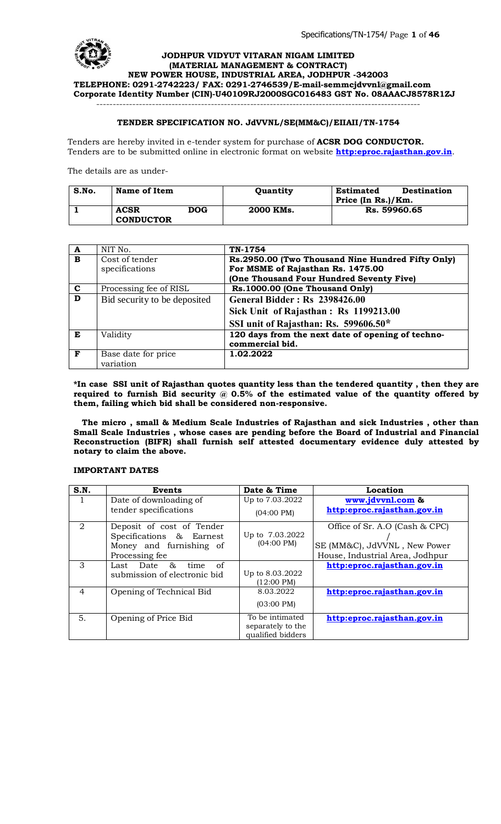

#### **TENDER SPECIFICATION NO. JdVVNL/SE(MM&C)/EIIAII/TN-1754**

Tenders are hereby invited in e-tender system for purchase of **ACSR DOG CONDUCTOR.**  Tenders are to be submitted online in electronic format on website **http:eproc.rajasthan.gov.in**.

The details are as under-

| S.No. | Name of Item                    |     | Quantity  | <b>Destination</b><br><b>Estimated</b><br>Price (In Rs.)/Km. |  |
|-------|---------------------------------|-----|-----------|--------------------------------------------------------------|--|
|       | <b>ACSR</b><br><b>CONDUCTOR</b> | DOG | 2000 KMs. | Rs. 59960.65                                                 |  |

| A           | NIT No.                      | TN-1754                                           |
|-------------|------------------------------|---------------------------------------------------|
| B           | Cost of tender               | Rs.2950.00 (Two Thousand Nine Hundred Fifty Only) |
|             | specifications               | For MSME of Rajasthan Rs. 1475.00                 |
|             |                              | (One Thousand Four Hundred Seventy Five)          |
| $\mathbf c$ | Processing fee of RISL       | Rs.1000.00 (One Thousand Only)                    |
| D           | Bid security to be deposited | <b>General Bidder: Rs 2398426.00</b>              |
|             |                              | Sick Unit of Rajasthan: Rs 1199213.00             |
|             |                              | SSI unit of Rajasthan: Rs. 599606.50*             |
| E           | Validity                     | 120 days from the next date of opening of techno- |
|             |                              | commercial bid.                                   |
| F           | Base date for price          | 1.02.2022                                         |
|             | variation                    |                                                   |

**\*In case SSI unit of Rajasthan quotes quantity less than the tendered quantity , then they are required to furnish Bid security @ 0.5% of the estimated value of the quantity offered by them, failing which bid shall be considered non-responsive.**

 **The micro , small & Medium Scale Industries of Rajasthan and sick Industries , other than Small Scale Industries , whose cases are pending before the Board of Industrial and Financial Reconstruction (BIFR) shall furnish self attested documentary evidence duly attested by notary to claim the above.**

#### **IMPORTANT DATES**

| S.N.           | <b>Events</b>                | Date & Time          | Location                        |
|----------------|------------------------------|----------------------|---------------------------------|
|                | Date of downloading of       | Up to 7.03.2022      | www.jdvvnl.com &                |
|                | tender specifications        | $(04:00 \text{ PM})$ | http:eproc.rajasthan.gov.in     |
| 2              | Deposit of cost of Tender    |                      | Office of Sr. A.O (Cash & CPC)  |
|                | Specifications & Earnest     | Up to 7.03.2022      |                                 |
|                | Money and furnishing of      | $(04:00 \text{ PM})$ | SE (MM&C), JdVVNL, New Power    |
|                | Processing fee               |                      | House, Industrial Area, Jodhpur |
| 3              | Last Date &<br>of<br>time    |                      | http:eproc.rajasthan.gov.in     |
|                | submission of electronic bid | Up to 8.03.2022      |                                 |
|                |                              | $(12:00 \text{ PM})$ |                                 |
| $\overline{4}$ | Opening of Technical Bid     | 8.03.2022            | http:eproc.rajasthan.gov.in     |
|                |                              | $(03:00 \text{ PM})$ |                                 |
| 5.             | Opening of Price Bid         | To be intimated      | http:eproc.rajasthan.gov.in     |
|                |                              | separately to the    |                                 |
|                |                              | qualified bidders    |                                 |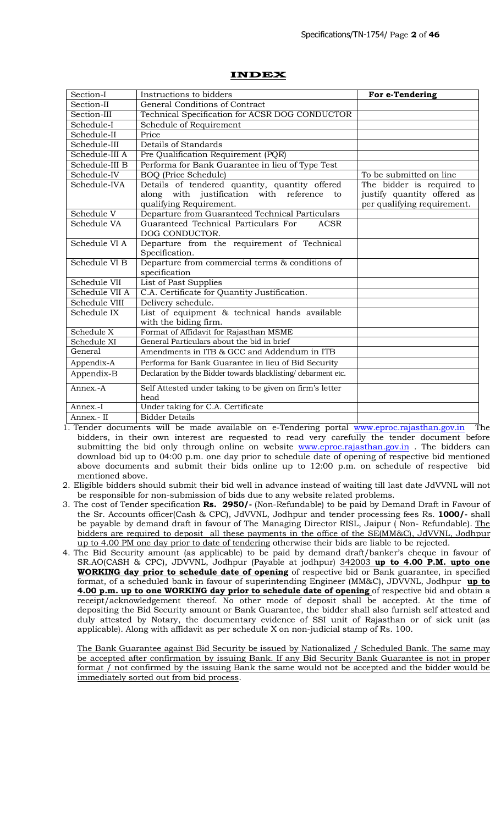| Section-I      | Instructions to bidders                                                                                                    | For e-Tendering                                                                         |
|----------------|----------------------------------------------------------------------------------------------------------------------------|-----------------------------------------------------------------------------------------|
| Section-II     | General Conditions of Contract                                                                                             |                                                                                         |
| Section-III    | Technical Specification for ACSR DOG CONDUCTOR                                                                             |                                                                                         |
| Schedule-I     | Schedule of Requirement                                                                                                    |                                                                                         |
| Schedule-II    | Price                                                                                                                      |                                                                                         |
| Schedule-III   | Details of Standards                                                                                                       |                                                                                         |
| Schedule-III A | Pre Qualification Requirement (PQR)                                                                                        |                                                                                         |
| Schedule-III B | Performa for Bank Guarantee in lieu of Type Test                                                                           |                                                                                         |
| Schedule-IV    | <b>BOQ</b> (Price Schedule)                                                                                                | To be submitted on line                                                                 |
| Schedule-IVA   | Details of tendered quantity, quantity offered<br>along with justification with reference<br>to<br>qualifying Requirement. | The bidder is required to<br>justify quantity offered as<br>per qualifying requirement. |
| Schedule V     | Departure from Guaranteed Technical Particulars                                                                            |                                                                                         |
| Schedule VA    | Guaranteed Technical Particulars For<br><b>ACSR</b><br>DOG CONDUCTOR.                                                      |                                                                                         |
| Schedule VI A  | Departure from the requirement of Technical<br>Specification.                                                              |                                                                                         |
| Schedule VI B  | Departure from commercial terms & conditions of<br>specification                                                           |                                                                                         |
| Schedule VII   | List of Past Supplies                                                                                                      |                                                                                         |
| Schedule VII A | C.A. Certificate for Quantity Justification.                                                                               |                                                                                         |
| Schedule VIII  | Delivery schedule.                                                                                                         |                                                                                         |
| Schedule IX    | List of equipment & technical hands available<br>with the biding firm.                                                     |                                                                                         |
| Schedule X     | Format of Affidavit for Rajasthan MSME                                                                                     |                                                                                         |
| Schedule XI    | General Particulars about the bid in brief                                                                                 |                                                                                         |
| General        | Amendments in ITB & GCC and Addendum in ITB                                                                                |                                                                                         |
| Appendix-A     | Performa for Bank Guarantee in lieu of Bid Security                                                                        |                                                                                         |
| Appendix-B     | Declaration by the Bidder towards blacklisting/debarment etc.                                                              |                                                                                         |
| Annex.-A       | Self Attested under taking to be given on firm's letter<br>head                                                            |                                                                                         |
| Annex.-I       | Under taking for C.A. Certificate                                                                                          |                                                                                         |
| Annex.- II     | <b>Bidder Details</b>                                                                                                      |                                                                                         |

## **INDEX**

1. Tender documents will be made available on e-Tendering portal www.eproc.rajasthan.gov.in The bidders, in their own interest are requested to read very carefully the tender document before submitting the bid only through online on website www.eproc.rajasthan.gov.in. The bidders can download bid up to 04:00 p.m. one day prior to schedule date of opening of respective bid mentioned above documents and submit their bids online up to 12:00 p.m. on schedule of respective bid mentioned above.

2. Eligible bidders should submit their bid well in advance instead of waiting till last date JdVVNL will not be responsible for non-submission of bids due to any website related problems.

- 3. The cost of Tender specification **Rs. 2950/-** (Non-Refundable) to be paid by Demand Draft in Favour of the Sr. Accounts officer(Cash & CPC), JdVVNL, Jodhpur and tender processing fees Rs. **1000/-** shall be payable by demand draft in favour of The Managing Director RISL, Jaipur (Non- Refundable). The bidders are required to deposit all these payments in the office of the SE(MM&C), JdVVNL, Jodhpur up to 4.00 PM one day prior to date of tendering otherwise their bids are liable to be rejected.
- 4. The Bid Security amount (as applicable) to be paid by demand draft/banker's cheque in favour of SR.AO(CASH & CPC), JDVVNL, Jodhpur (Payable at jodhpur) 342003 **up to 4.00 P.M. upto one WORKING day prior to schedule date of opening** of respective bid or Bank guarantee, in specified format, of a scheduled bank in favour of superintending Engineer (MM&C), JDVVNL, Jodhpur **up to 4.00 p.m. up to one WORKING day prior to schedule date of opening** of respective bid and obtain a receipt/acknowledgement thereof. No other mode of deposit sh[all be accepted. At the tim](http://www.eproc.rajasthan.gov.in/)e of depositing the Bid Security amount or Bank Guarantee, the bidder shall also furnish self attested and duly attested by Notary, the documentary evidence [of SSI unit of Rajasthan](http://www.eproc.rajasthan.gov.in/) or of sick unit (as applicable). Along with affidavit as per schedule X on non-judicial stamp of Rs. 100.

The Bank Guarantee against Bid Security be issued by Nationalized / Scheduled Bank. The same may be accepted after confirmation by issuing Bank. If any Bid Security Bank Guarantee is not in proper format / not confirmed by the issuing Bank the same would not be accepted and the bidder would be immediately sorted out from bid process.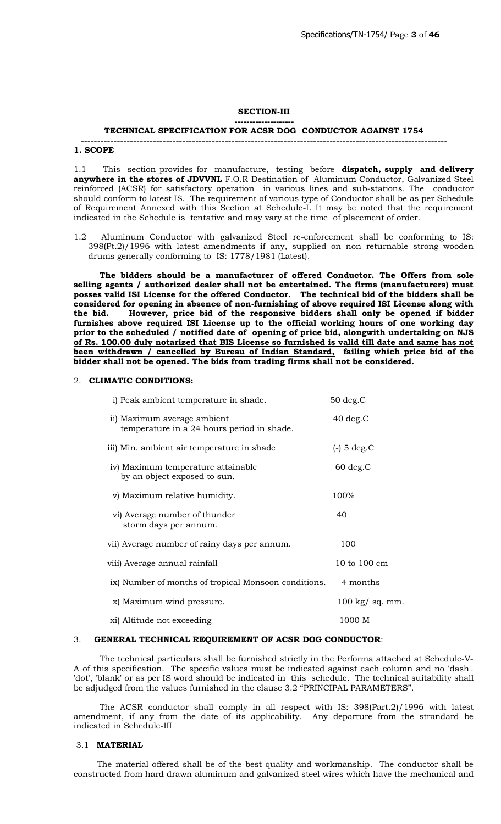#### **SECTION-III --------------------**

#### **TECHNICAL SPECIFICATION FOR ACSR DOG CONDUCTOR AGAINST 1754** ----------------------------------------------------------------------------------------------------------------

#### **1. SCOPE**

1.1 This section provides for manufacture, testing before **dispatch, supply and delivery anywhere in the stores of JDVVNL** F.O.R Destination of Aluminum Conductor, Galvanized Steel reinforced (ACSR) for satisfactory operation in various lines and sub-stations. The conductor should conform to latest IS. The requirement of various type of Conductor shall be as per Schedule of Requirement Annexed with this Section at Schedule-I. It may be noted that the requirement indicated in the Schedule is tentative and may vary at the time of placement of order.

1.2 Aluminum Conductor with galvanized Steel re-enforcement shall be conforming to IS: 398(Pt.2)/1996 with latest amendments if any, supplied on non returnable strong wooden drums generally conforming to IS: 1778/1981 (Latest).

 **The bidders should be a manufacturer of offered Conductor. The Offers from sole selling agents / authorized dealer shall not be entertained. The firms (manufacturers) must posses valid ISI License for the offered Conductor. The technical bid of the bidders shall be considered for opening in absence of non-furnishing of above required ISI License along with the bid. However, price bid of the responsive bidders shall only be opened if bidder furnishes above required ISI License up to the official working hours of one working day prior to the scheduled / notified date of opening of price bid, alongwith undertaking on NJS of Rs. 100.00 duly notarized that BIS License so furnished is valid till date and same has not been withdrawn / cancelled by Bureau of Indian Standard, failing which price bid of the bidder shall not be opened. The bids from trading firms shall not be considered.**

# 2. **CLIMATIC CONDITIONS:**

| i) Peak ambient temperature in shade.                                     | $50$ deg. $C$            |
|---------------------------------------------------------------------------|--------------------------|
| ii) Maximum average ambient<br>temperature in a 24 hours period in shade. | $40$ deg. $C$            |
| iii) Min. ambient air temperature in shade                                | $(-)$ 5 deg.C            |
| iv) Maximum temperature attainable<br>by an object exposed to sun.        | $60 \text{ deg.C}$       |
| v) Maximum relative humidity.                                             | 100%                     |
| vi) Average number of thunder<br>storm days per annum.                    | 40                       |
| vii) Average number of rainy days per annum.                              | 100                      |
| viii) Average annual rainfall                                             | 10 to 100 cm             |
| ix) Number of months of tropical Monsoon conditions.                      | 4 months                 |
| x) Maximum wind pressure.                                                 | $100 \text{ kg}$ sq. mm. |
| xi) Altitude not exceeding                                                | 1000 M                   |

## 3. **GENERAL TECHNICAL REQUIREMENT OF ACSR DOG CONDUCTOR**:

 The technical particulars shall be furnished strictly in the Performa attached at Schedule-V-A of this specification. The specific values must be indicated against each column and no 'dash'. 'dot', 'blank' or as per IS word should be indicated in this schedule. The technical suitability shall be adjudged from the values furnished in the clause 3.2 "PRINCIPAL PARAMETERS".

 The ACSR conductor shall comply in all respect with IS: 398(Part.2)/1996 with latest amendment, if any from the date of its applicability. Any departure from the strandard be indicated in Schedule-III

#### 3.1 **MATERIAL**

 The material offered shall be of the best quality and workmanship. The conductor shall be constructed from hard drawn aluminum and galvanized steel wires which have the mechanical and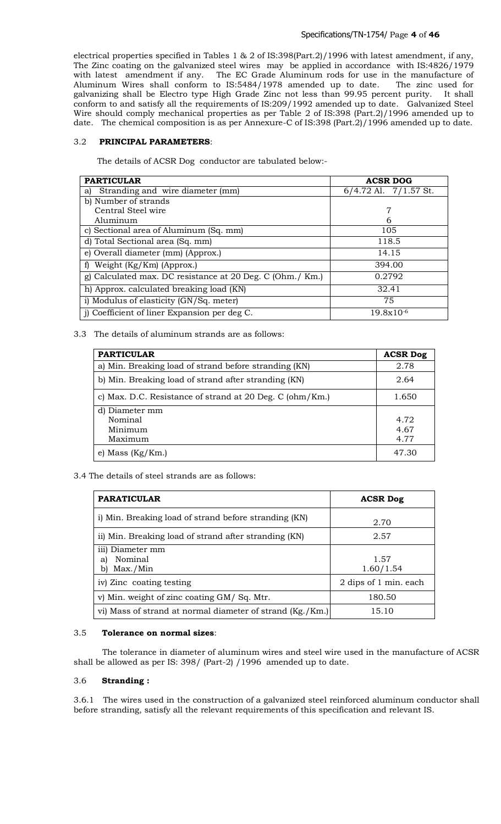electrical properties specified in Tables 1 & 2 of IS:398(Part.2)/1996 with latest amendment, if any, The Zinc coating on the galvanized steel wires may be applied in accordance with IS:4826/1979 with latest amendment if any. The EC Grade Aluminum rods for use in the manufacture of Aluminum Wires shall conform to IS:5484/1978 amended up to date. The zinc used for galvanizing shall be Electro type High Grade Zinc not less than 99.95 percent purity. It shall conform to and satisfy all the requirements of IS:209/1992 amended up to date. Galvanized Steel Wire should comply mechanical properties as per Table 2 of IS:398 (Part.2)/1996 amended up to date. The chemical composition is as per Annexure-C of IS:398 (Part.2)/1996 amended up to date.

# 3.2 **PRINCIPAL PARAMETERS**:

The details of ACSR Dog conductor are tabulated below:-

| <b>PARTICULAR</b>                                         | <b>ACSR DOG</b>           |
|-----------------------------------------------------------|---------------------------|
| Stranding and wire diameter (mm)<br>a)                    | $6/4.72$ Al. $7/1.57$ St. |
| b) Number of strands                                      |                           |
| Central Steel wire                                        | 7                         |
| Aluminum                                                  | 6                         |
| c) Sectional area of Aluminum (Sq. mm)                    | 105                       |
| d) Total Sectional area (Sq. mm)                          | 118.5                     |
| e) Overall diameter (mm) (Approx.)                        | 14.15                     |
| f) Weight $(Kg/Km)$ (Approx.)                             | 394.00                    |
| g) Calculated max. DC resistance at 20 Deg. C (Ohm./ Km.) | 0.2792                    |
| h) Approx. calculated breaking load (KN)                  | 32.41                     |
| i) Modulus of elasticity (GN/Sq. meter)                   | 75                        |
| j) Coefficient of liner Expansion per deg C.              | $19.8x10^{-6}$            |

3.3 The details of aluminum strands are as follows:

| <b>PARTICULAR</b>                                        | <b>ACSR Dog</b>      |
|----------------------------------------------------------|----------------------|
| a) Min. Breaking load of strand before stranding (KN)    | 2.78                 |
| b) Min. Breaking load of strand after stranding (KN)     | 2.64                 |
| c) Max. D.C. Resistance of strand at 20 Deg. C (ohm/Km.) | 1.650                |
| d) Diameter mm<br>Nominal<br>Minimum<br>Maximum          | 4.72<br>4.67<br>4.77 |
| e) Mass $(Kg/Km)$                                        | 47.30                |

3.4 The details of steel strands are as follows:

| <b>PARATICULAR</b>                                        | <b>ACSR Dog</b>       |
|-----------------------------------------------------------|-----------------------|
| i) Min. Breaking load of strand before stranding (KN)     | 2.70                  |
| ii) Min. Breaking load of strand after stranding (KN)     | 2.57                  |
| iii) Diameter mm<br>Nominal<br>al<br>Max./Min<br>b)       | 1.57<br>1.60/1.54     |
| iv) Zinc coating testing                                  | 2 dips of 1 min. each |
| v) Min. weight of zinc coating GM/Sq. Mtr.                | 180.50                |
| vi) Mass of strand at normal diameter of strand (Kg./Km.) | 15.10                 |

## 3.5 **Tolerance on normal sizes**:

 The tolerance in diameter of aluminum wires and steel wire used in the manufacture of ACSR shall be allowed as per IS: 398/ (Part-2) /1996 amended up to date.

# 3.6 **Stranding :**

3.6.1 The wires used in the construction of a galvanized steel reinforced aluminum conductor shall before stranding, satisfy all the relevant requirements of this specification and relevant IS.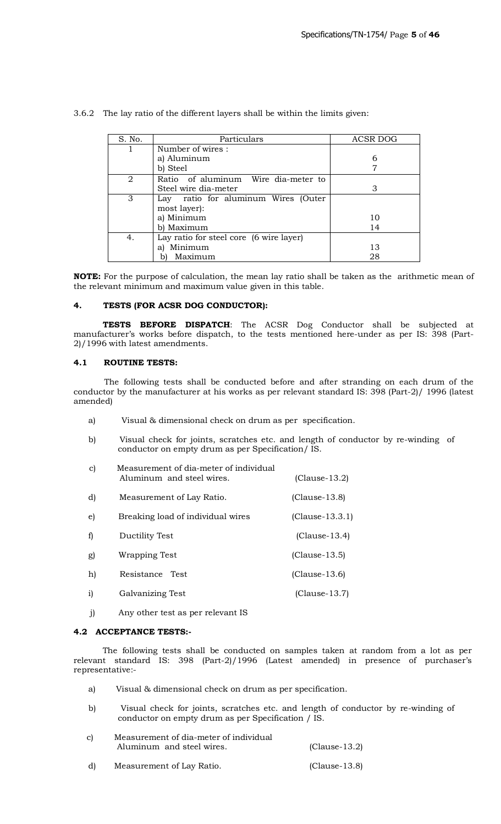| S. No. | Particulars                             | ACSR DOG |
|--------|-----------------------------------------|----------|
|        | Number of wires:                        |          |
|        | a) Aluminum                             | 6        |
|        | b) Steel                                |          |
| 2      | Ratio of aluminum Wire dia-meter to     |          |
|        | Steel wire dia-meter                    | 3        |
| 3      | Lay ratio for aluminum Wires (Outer     |          |
|        | most layer):                            |          |
|        | a) Minimum                              | 10       |
|        | b) Maximum                              | 14       |
| 4.     | Lay ratio for steel core (6 wire layer) |          |
|        | Minimum<br>al                           | 13       |
|        | Maximum                                 | 28       |

3.6.2 The lay ratio of the different layers shall be within the limits given:

**NOTE:** For the purpose of calculation, the mean lay ratio shall be taken as the arithmetic mean of the relevant minimum and maximum value given in this table.

# **4. TESTS (FOR ACSR DOG CONDUCTOR):**

**TESTS BEFORE DISPATCH**: The ACSR Dog Conductor shall be subjected at manufacturer's works before dispatch, to the tests mentioned here-under as per IS: 398 (Part-2)/1996 with latest amendments.

## **4.1 ROUTINE TESTS:**

The following tests shall be conducted before and after stranding on each drum of the conductor by the manufacturer at his works as per relevant standard IS: 398 (Part-2)/ 1996 (latest amended)

- a) Visual & dimensional check on drum as per specification.
- b) Visual check for joints, scratches etc. and length of conductor by re-winding of conductor on empty drum as per Specification/ IS.
- c) Measurement of dia-meter of individual Aluminum and steel wires. (Clause-13.2)
- d) Measurement of Lay Ratio. (Clause-13.8)
- e) Breaking load of individual wires (Clause-13.3.1)
- f) Ductility Test (Clause-13.4)
- g) Wrapping Test (Clause-13.5)
- h) Resistance Test (Clause-13.6)
- i) Galvanizing Test (Clause-13.7)
- j) Any other test as per relevant IS

## **4.2 ACCEPTANCE TESTS:-**

The following tests shall be conducted on samples taken at random from a lot as per relevant standard IS: 398 (Part-2)/1996 (Latest amended) in presence of purchaser's representative:-

- a) Visual & dimensional check on drum as per specification.
- b) Visual check for joints, scratches etc. and length of conductor by re-winding of conductor on empty drum as per Specification / IS.
- c) Measurement of dia-meter of individual Aluminum and steel wires. (Clause-13.2)
- d) Measurement of Lay Ratio. (Clause-13.8)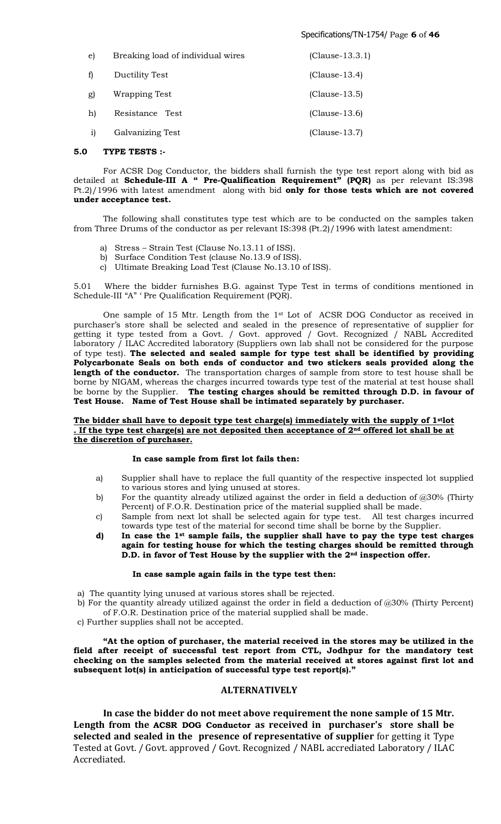## Specifications/TN-1754/ Page **6** of **46**

| e)           | Breaking load of individual wires | $(Clause-13.3.1)$ |
|--------------|-----------------------------------|-------------------|
| f)           | Ductility Test                    | $(Clause-13.4)$   |
| g)           | Wrapping Test                     | $(Clause-13.5)$   |
| h)           | Resistance Test                   | $(Clause-13.6)$   |
| $\mathbf{i}$ | Galvanizing Test                  | $(Clause-13.7)$   |

## **5.0 TYPE TESTS :-**

For ACSR Dog Conductor, the bidders shall furnish the type test report along with bid as detailed at **Schedule-III A " Pre-Qualification Requirement" (PQR)** as per relevant IS:398 Pt.2)/1996 with latest amendment along with bid **only for those tests which are not covered under acceptance test.**

The following shall constitutes type test which are to be conducted on the samples taken from Three Drums of the conductor as per relevant IS:398 (Pt.2)/1996 with latest amendment:

- a) Stress Strain Test (Clause No.13.11 of ISS).
- b) Surface Condition Test (clause No.13.9 of ISS).
- c) Ultimate Breaking Load Test (Clause No.13.10 of ISS).

5.01 Where the bidder furnishes B.G. against Type Test in terms of conditions mentioned in Schedule-III "A" ' Pre Qualification Requirement (PQR).

One sample of 15 Mtr. Length from the  $1<sup>st</sup>$  Lot of ACSR DOG Conductor as received in purchaser's store shall be selected and sealed in the presence of representative of supplier for getting it type tested from a Govt. / Govt. approved / Govt. Recognized / NABL Accredited laboratory / ILAC Accredited laboratory (Suppliers own lab shall not be considered for the purpose of type test). **The selected and sealed sample for type test shall be identified by providing Polycarbonate Seals on both ends of conductor and two stickers seals provided along the**  length of the conductor. The transportation charges of sample from store to test house shall be borne by NIGAM, whereas the charges incurred towards type test of the material at test house shall be borne by the Supplier. **The testing charges should be remitted through D.D. in favour of Test House. Name of Test House shall be intimated separately by purchaser.**

## **The bidder shall have to deposit type test charge(s) immediately with the supply of 1stlot . If the type test charge(s) are not deposited then acceptance of 2nd offered lot shall be at the discretion of purchaser.**

# **In case sample from first lot fails then:**

- a) Supplier shall have to replace the full quantity of the respective inspected lot supplied to various stores and lying unused at stores.
- b) For the quantity already utilized against the order in field a deduction of @30% (Thirty Percent) of F.O.R. Destination price of the material supplied shall be made.
- c) Sample from next lot shall be selected again for type test. All test charges incurred towards type test of the material for second time shall be borne by the Supplier.
- **d) In case the 1st sample fails, the supplier shall have to pay the type test charges again for testing house for which the testing charges should be remitted through D.D. in favor of Test House by the supplier with the 2nd inspection offer.**

#### **In case sample again fails in the type test then:**

- a) The quantity lying unused at various stores shall be rejected.
- b) For the quantity already utilized against the order in field a deduction of @30% (Thirty Percent) of F.O.R. Destination price of the material supplied shall be made.
- c) Further supplies shall not be accepted.

**"At the option of purchaser, the material received in the stores may be utilized in the field after receipt of successful test report from CTL, Jodhpur for the mandatory test checking on the samples selected from the material received at stores against first lot and subsequent lot(s) in anticipation of successful type test report(s)."**

## **ALTERNATIVELY**

**In case the bidder do not meet above requirement the none sample of 15 Mtr. Length from the ACSR DOG Conductor as received in purchaser's store shall be selected and sealed in the presence of representative of supplier** for getting it Type Tested at Govt. / Govt. approved / Govt. Recognized / NABL accrediated Laboratory / ILAC Accrediated.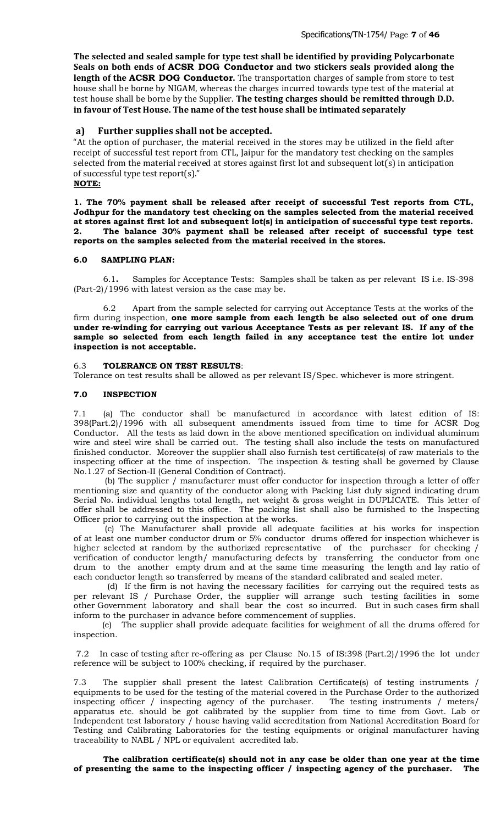**The selected and sealed sample for type test shall be identified by providing Polycarbonate Seals on both ends of ACSR DOG Conductor and two stickers seals provided along the length of the ACSR DOG Conductor.** The transportation charges of sample from store to test house shall be borne by NIGAM, whereas the charges incurred towards type test of the material at test house shall be borne by the Supplier. **The testing charges should be remitted through D.D. in favour of Test House. The name of the test house shall be intimated separately**

# **a) Further supplies shall not be accepted.**

"At the option of purchaser, the material received in the stores may be utilized in the field after receipt of successful test report from CTL, Jaipur for the mandatory test checking on the samples selected from the material received at stores against first lot and subsequent lot(s) in anticipation of successful type test report(s)." **NOTE:**

**1. The 70% payment shall be released after receipt of successful Test reports from CTL, Jodhpur for the mandatory test checking on the samples selected from the material received at stores against first lot and subsequent lot(s) in anticipation of successful type test reports. 2. The balance 30% payment shall be released after receipt of successful type test reports on the samples selected from the material received in the stores.**

#### **6.0 SAMPLING PLAN:**

6.1**.** Samples for Acceptance Tests: Samples shall be taken as per relevant IS i.e. IS-398 (Part-2)/1996 with latest version as the case may be.

6.2 Apart from the sample selected for carrying out Acceptance Tests at the works of the firm during inspection, **one more sample from each length be also selected out of one drum under re-winding for carrying out various Acceptance Tests as per relevant IS. If any of the sample so selected from each length failed in any acceptance test the entire lot under inspection is not acceptable.**

## 6.3 **TOLERANCE ON TEST RESULTS**:

Tolerance on test results shall be allowed as per relevant IS/Spec. whichever is more stringent.

#### **7.0 INSPECTION**

7.1 (a) The conductor shall be manufactured in accordance with latest edition of IS: 398(Part.2)/1996 with all subsequent amendments issued from time to time for ACSR Dog Conductor. All the tests as laid down in the above mentioned specification on individual aluminum wire and steel wire shall be carried out. The testing shall also include the tests on manufactured finished conductor. Moreover the supplier shall also furnish test certificate(s) of raw materials to the inspecting officer at the time of inspection. The inspection & testing shall be governed by Clause No.1.27 of Section-II (General Condition of Contract).

 (b) The supplier / manufacturer must offer conductor for inspection through a letter of offer mentioning size and quantity of the conductor along with Packing List duly signed indicating drum Serial No. individual lengths total length, net weight & gross weight in DUPLICATE. This letter of offer shall be addressed to this office. The packing list shall also be furnished to the Inspecting Officer prior to carrying out the inspection at the works.

 (c) The Manufacturer shall provide all adequate facilities at his works for inspection of at least one number conductor drum or 5% conductor drums offered for inspection whichever is higher selected at random by the authorized representative of the purchaser for checking / verification of conductor length/ manufacturing defects by transferring the conductor from one drum to the another empty drum and at the same time measuring the length and lay ratio of each conductor length so transferred by means of the standard calibrated and sealed meter.

 (d) If the firm is not having the necessary facilities for carrying out the required tests as per relevant IS / Purchase Order, the supplier will arrange such testing facilities in some other Government laboratory and shall bear the cost so incurred. But in such cases firm shall inform to the purchaser in advance before commencement of supplies.

 (e) The supplier shall provide adequate facilities for weighment of all the drums offered for inspection.

7.2 In case of testing after re-offering as per Clause No.15 of IS:398 (Part.2)/1996 the lot under reference will be subject to 100% checking, if required by the purchaser.

7.3 The supplier shall present the latest Calibration Certificate(s) of testing instruments / equipments to be used for the testing of the material covered in the Purchase Order to the authorized inspecting officer / inspecting agency of the purchaser. The testing instruments / meters/ inspecting officer  $/$  inspecting agency of the purchaser. apparatus etc. should be got calibrated by the supplier from time to time from Govt. Lab or Independent test laboratory / house having valid accreditation from National Accreditation Board for Testing and Calibrating Laboratories for the testing equipments or original manufacturer having traceability to NABL / NPL or equivalent accredited lab.

**The calibration certificate(s) should not in any case be older than one year at the time of presenting the same to the inspecting officer / inspecting agency of the purchaser. The**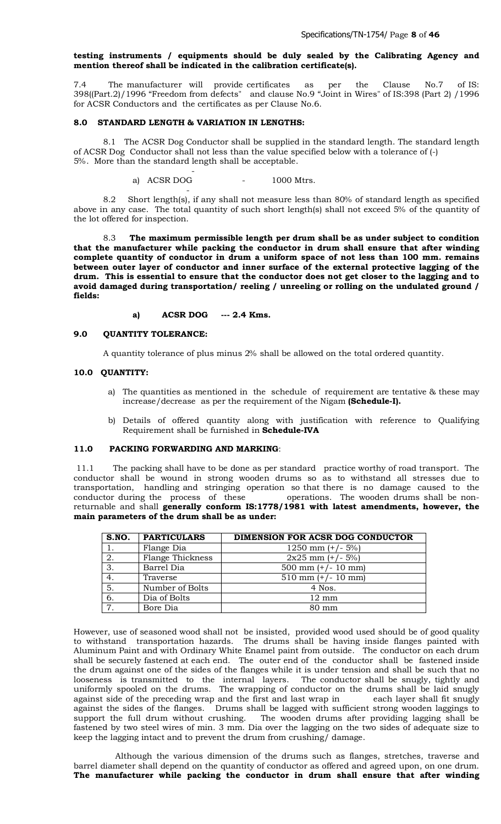# **testing instruments / equipments should be duly sealed by the Calibrating Agency and mention thereof shall be indicated in the calibration certificate(s).**

7.4 The manufacturer will provide certificates as per the Clause No.7 of IS: 398((Part.2)/1996 "Freedom from defects" and clause No.9 "Joint in Wires" of IS:398 (Part 2) /1996 for ACSR Conductors and the certificates as per Clause No.6.

## **8.0 STANDARD LENGTH & VARIATION IN LENGTHS:**

-

 $\sim$  -  $\sim$   $\sim$   $\sim$ 

8.1 The ACSR Dog Conductor shall be supplied in the standard length. The standard length of ACSR Dog Conductor shall not less than the value specified below with a tolerance of (-) 5%. More than the standard length shall be acceptable.

a) ACSR DOG - 1000 Mtrs.

8.2 Short length(s), if any shall not measure less than 80% of standard length as specified above in any case. The total quantity of such short length(s) shall not exceed 5% of the quantity of the lot offered for inspection.

8.3 **The maximum permissible length per drum shall be as under subject to condition that the manufacturer while packing the conductor in drum shall ensure that after winding complete quantity of conductor in drum a uniform space of not less than 100 mm. remains between outer layer of conductor and inner surface of the external protective lagging of the drum. This is essential to ensure that the conductor does not get closer to the lagging and to avoid damaged during transportation/ reeling / unreeling or rolling on the undulated ground / fields:**

**a) ACSR DOG --- 2.4 Kms.**

## **9.0 QUANTITY TOLERANCE:**

A quantity tolerance of plus minus 2% shall be allowed on the total ordered quantity.

#### **10.0 QUANTITY:**

- a) The quantities as mentioned in the schedule of requirement are tentative & these may increase/decrease as per the requirement of the Nigam **(Schedule-I).**
- b) Details of offered quantity along with justification with reference to Qualifying Requirement shall be furnished in **Schedule-IVA**

# **11.0 PACKING FORWARDING AND MARKING**:

11.1 The packing shall have to be done as per standard practice worthy of road transport. The conductor shall be wound in strong wooden drums so as to withstand all stresses due to transportation, handling and stringing operation so that there is no damage caused to the conductor during the process of these operations. The wooden drums shall be nonreturnable and shall **generally conform IS:1778/1981 with latest amendments, however, the main parameters of the drum shall be as under:**

| S.NO.           | <b>PARTICULARS</b> | DIMENSION FOR ACSR DOG CONDUCTOR |
|-----------------|--------------------|----------------------------------|
|                 | Flange Dia         | 1250 mm $(+/- 5%)$               |
| 2.              | Flange Thickness   | $2x25$ mm $(+/- 5%)$             |
| 3.              | Barrel Dia         | 500 mm $(+/- 10$ mm)             |
| 4.              | Traverse           | $510$ mm $(+/- 10$ mm)           |
| 5.              | Number of Bolts    | 4 Nos.                           |
| 6.              | Dia of Bolts       | $12 \text{ mm}$                  |
| $7\overline{ }$ | Bore Dia           | $80 \text{ mm}$                  |

However, use of seasoned wood shall not be insisted, provided wood used should be of good quality to withstand transportation hazards. The drums shall be having inside flanges painted with Aluminum Paint and with Ordinary White Enamel paint from outside. The conductor on each drum shall be securely fastened at each end. The outer end of the conductor shall be fastened inside the drum against one of the sides of the flanges while it is under tension and shall be such that no looseness is transmitted to the internal layers. The conductor shall be snugly, tightly and uniformly spooled on the drums. The wrapping of conductor on the drums shall be laid snugly against side of the preceding wrap and the first and last wrap in each layer shall fit snugly against side of the preceding wrap and the first and last wrap in against the sides of the flanges. Drums shall be lagged with sufficient strong wooden laggings to The wooden drums after providing lagging shall be fastened by two steel wires of min. 3 mm. Dia over the lagging on the two sides of adequate size to keep the lagging intact and to prevent the drum from crushing/ damage.

 Although the various dimension of the drums such as flanges, stretches, traverse and barrel diameter shall depend on the quantity of conductor as offered and agreed upon, on one drum. **The manufacturer while packing the conductor in drum shall ensure that after winding**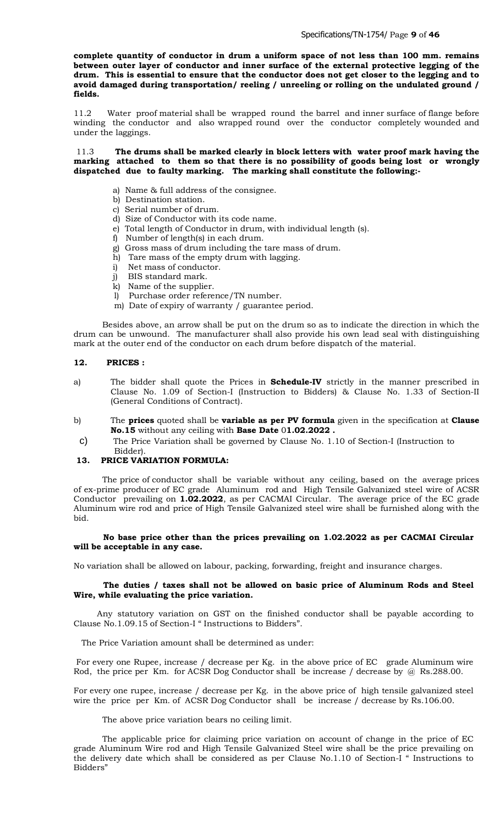**complete quantity of conductor in drum a uniform space of not less than 100 mm. remains between outer layer of conductor and inner surface of the external protective legging of the drum. This is essential to ensure that the conductor does not get closer to the legging and to**  avoid damaged during transportation/ reeling / unreeling or rolling on the undulated ground / **fields.**

11.2 Water proof material shall be wrapped round the barrel and inner surface of flange before winding the conductor and also wrapped round over the conductor completely wounded and under the laggings.

11.3 **The drums shall be marked clearly in block letters with water proof mark having the marking attached to them so that there is no possibility of goods being lost or wrongly dispatched due to faulty marking. The marking shall constitute the following:-**

- a) Name & full address of the consignee.
- b) Destination station.
- c) Serial number of drum.
- d) Size of Conductor with its code name.
- e) Total length of Conductor in drum, with individual length (s).
- f) Number of length(s) in each drum.
- g) Gross mass of drum including the tare mass of drum.
- h) Tare mass of the empty drum with lagging.
- i) Net mass of conductor.
- j) BIS standard mark.
- k) Name of the supplier.
- l) Purchase order reference/TN number.
- m) Date of expiry of warranty / guarantee period.

 Besides above, an arrow shall be put on the drum so as to indicate the direction in which the drum can be unwound. The manufacturer shall also provide his own lead seal with distinguishing mark at the outer end of the conductor on each drum before dispatch of the material.

## **12. PRICES :**

- a) The bidder shall quote the Prices in **Schedule-IV** strictly in the manner prescribed in Clause No. 1.09 of Section-I (Instruction to Bidders) & Clause No. 1.33 of Section-II (General Conditions of Contract).
- b) The **prices** quoted shall be **variable as per PV formula** given in the specification at **Clause No.15** without any ceiling with **Base Date** 0**1.02.2022 .**
- c) The Price Variation shall be governed by Clause No. 1.10 of Section-I (Instruction to Bidder).

# **13. PRICE VARIATION FORMULA:**

 The price of conductor shall be variable without any ceiling, based on the average prices of ex-prime producer of EC grade Aluminum rod and High Tensile Galvanized steel wire of ACSR Conductor prevailing on **1.02.2022**, as per CACMAI Circular. The average price of the EC grade Aluminum wire rod and price of High Tensile Galvanized steel wire shall be furnished along with the bid.

## **No base price other than the prices prevailing on 1.02.2022 as per CACMAI Circular will be acceptable in any case.**

No variation shall be allowed on labour, packing, forwarding, freight and insurance charges.

## **The duties / taxes shall not be allowed on basic price of Aluminum Rods and Steel Wire, while evaluating the price variation.**

 Any statutory variation on GST on the finished conductor shall be payable according to Clause No.1.09.15 of Section-I " Instructions to Bidders".

The Price Variation amount shall be determined as under:

For every one Rupee, increase / decrease per Kg. in the above price of EC grade Aluminum wire Rod, the price per Km. for ACSR Dog Conductor shall be increase / decrease by @ Rs.288.00.

For every one rupee, increase / decrease per Kg. in the above price of high tensile galvanized steel wire the price per Km. of ACSR Dog Conductor shall be increase / decrease by Rs.106.00.

The above price variation bears no ceiling limit.

 The applicable price for claiming price variation on account of change in the price of EC grade Aluminum Wire rod and High Tensile Galvanized Steel wire shall be the price prevailing on the delivery date which shall be considered as per Clause No.1.10 of Section-I " Instructions to Bidders"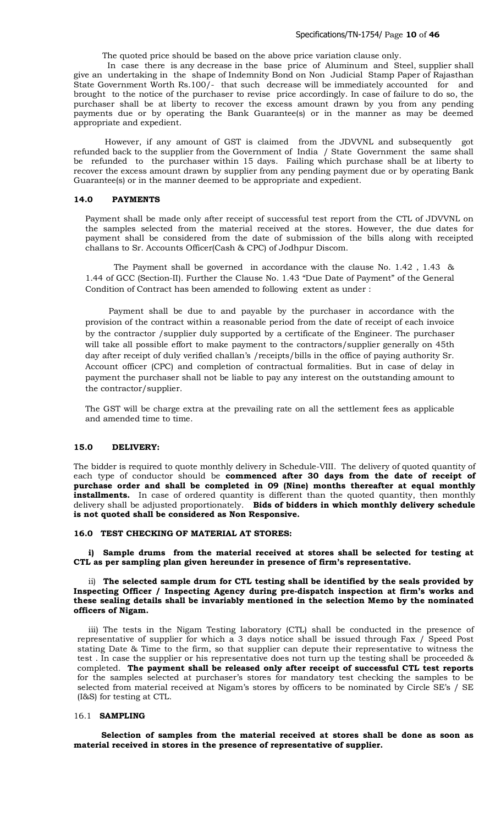The quoted price should be based on the above price variation clause only.

 In case there is any decrease in the base price of Aluminum and Steel, supplier shall give an undertaking in the shape of Indemnity Bond on Non Judicial Stamp Paper of Rajasthan State Government Worth Rs.100/- that such decrease will be immediately accounted for and brought to the notice of the purchaser to revise price accordingly. In case of failure to do so, the purchaser shall be at liberty to recover the excess amount drawn by you from any pending payments due or by operating the Bank Guarantee(s) or in the manner as may be deemed appropriate and expedient.

 However, if any amount of GST is claimed from the JDVVNL and subsequently got refunded back to the supplier from the Government of India / State Government the same shall be refunded to the purchaser within 15 days. Failing which purchase shall be at liberty to recover the excess amount drawn by supplier from any pending payment due or by operating Bank Guarantee(s) or in the manner deemed to be appropriate and expedient.

#### **14.0 PAYMENTS**

Payment shall be made only after receipt of successful test report from the CTL of JDVVNL on the samples selected from the material received at the stores. However, the due dates for payment shall be considered from the date of submission of the bills along with receipted challans to Sr. Accounts Officer(Cash & CPC) of Jodhpur Discom.

 The Payment shall be governed in accordance with the clause No. 1.42 , 1.43 & 1.44 of GCC (Section-II). Further the Clause No. 1.43 "Due Date of Payment" of the General Condition of Contract has been amended to following extent as under :

 Payment shall be due to and payable by the purchaser in accordance with the provision of the contract within a reasonable period from the date of receipt of each invoice by the contractor /supplier duly supported by a certificate of the Engineer. The purchaser will take all possible effort to make payment to the contractors/supplier generally on 45th day after receipt of duly verified challan's /receipts/bills in the office of paying authority Sr. Account officer (CPC) and completion of contractual formalities. But in case of delay in payment the purchaser shall not be liable to pay any interest on the outstanding amount to the contractor/supplier.

The GST will be charge extra at the prevailing rate on all the settlement fees as applicable and amended time to time.

#### **15.0 DELIVERY:**

The bidder is required to quote monthly delivery in Schedule-VIII. The delivery of quoted quantity of each type of conductor should be **commenced after 30 days from the date of receipt of purchase order and shall be completed in 09 (Nine) months thereafter at equal monthly installments.** In case of ordered quantity is different than the quoted quantity, then monthly delivery shall be adjusted proportionately. **Bids of bidders in which monthly delivery schedule is not quoted shall be considered as Non Responsive.**

#### **16.0 TEST CHECKING OF MATERIAL AT STORES:**

**i) Sample drums from the material received at stores shall be selected for testing at CTL as per sampling plan given hereunder in presence of firm's representative.**

ii) **The selected sample drum for CTL testing shall be identified by the seals provided by Inspecting Officer / Inspecting Agency during pre-dispatch inspection at firm's works and these sealing details shall be invariably mentioned in the selection Memo by the nominated officers of Nigam.**

iii) The tests in the Nigam Testing laboratory (CTL) shall be conducted in the presence of representative of supplier for which a 3 days notice shall be issued through Fax / Speed Post stating Date & Time to the firm, so that supplier can depute their representative to witness the test . In case the supplier or his representative does not turn up the testing shall be proceeded & completed. **The payment shall be released only after receipt of successful CTL test reports** for the samples selected at purchaser's stores for mandatory test checking the samples to be selected from material received at Nigam's stores by officers to be nominated by Circle SE's / SE (I&S) for testing at CTL.

## 16.1 **SAMPLING**

 **Selection of samples from the material received at stores shall be done as soon as material received in stores in the presence of representative of supplier.**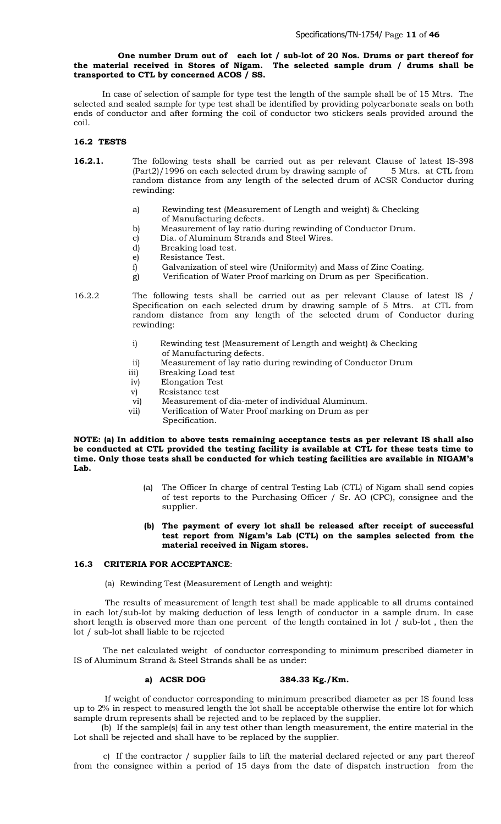## **One number Drum out of each lot / sub-lot of 20 Nos. Drums or part thereof for the material received in Stores of Nigam. The selected sample drum / drums shall be transported to CTL by concerned ACOS / SS.**

 In case of selection of sample for type test the length of the sample shall be of 15 Mtrs. The selected and sealed sample for type test shall be identified by providing polycarbonate seals on both ends of conductor and after forming the coil of conductor two stickers seals provided around the coil.

## **16.2 TESTS**

- **16.2.1.** The following tests shall be carried out as per relevant Clause of latest IS-398  $(Part2)/1996$  on each selected drum by drawing sample of 5 Mtrs. at CTL from random distance from any length of the selected drum of ACSR Conductor during rewinding:
	- a) Rewinding test (Measurement of Length and weight) & Checking of Manufacturing defects.
	- b) Measurement of lay ratio during rewinding of Conductor Drum.
	- c) Dia. of Aluminum Strands and Steel Wires.
	- d) Breaking load test.
	- e) Resistance Test.
	- f) Galvanization of steel wire (Uniformity) and Mass of Zinc Coating.
	- g) Verification of Water Proof marking on Drum as per Specification.

16.2.2 The following tests shall be carried out as per relevant Clause of latest IS / Specification on each selected drum by drawing sample of 5 Mtrs. at CTL from random distance from any length of the selected drum of Conductor during rewinding:

- i) Rewinding test (Measurement of Length and weight) & Checking of Manufacturing defects.
- ii) Measurement of lay ratio during rewinding of Conductor Drum
- iii) Breaking Load test
- iv) Elongation Test
- v) Resistance test
- vi) Measurement of dia-meter of individual Aluminum.
- vii) Verification of Water Proof marking on Drum as per Specification.

#### **NOTE: (a) In addition to above tests remaining acceptance tests as per relevant IS shall also be conducted at CTL provided the testing facility is available at CTL for these tests time to time. Only those tests shall be conducted for which testing facilities are available in NIGAM's Lab.**

- (a) The Officer In charge of central Testing Lab (CTL) of Nigam shall send copies of test reports to the Purchasing Officer / Sr. AO (CPC), consignee and the supplier.
- **(b) The payment of every lot shall be released after receipt of successful test report from Nigam's Lab (CTL) on the samples selected from the material received in Nigam stores.**

## **16.3 CRITERIA FOR ACCEPTANCE**:

(a) Rewinding Test (Measurement of Length and weight):

 The results of measurement of length test shall be made applicable to all drums contained in each lot/sub-lot by making deduction of less length of conductor in a sample drum. In case short length is observed more than one percent of the length contained in lot / sub-lot , then the lot / sub-lot shall liable to be rejected

The net calculated weight of conductor corresponding to minimum prescribed diameter in IS of Aluminum Strand & Steel Strands shall be as under:

#### **a) ACSR DOG 384.33 Kg./Km.**

 If weight of conductor corresponding to minimum prescribed diameter as per IS found less up to 2% in respect to measured length the lot shall be acceptable otherwise the entire lot for which sample drum represents shall be rejected and to be replaced by the supplier.

 (b) If the sample(s) fail in any test other than length measurement, the entire material in the Lot shall be rejected and shall have to be replaced by the supplier.

c) If the contractor / supplier fails to lift the material declared rejected or any part thereof from the consignee within a period of 15 days from the date of dispatch instruction from the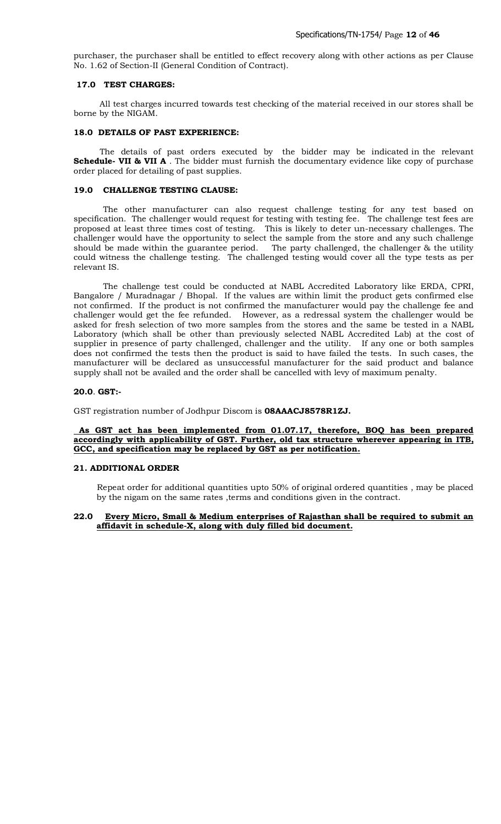purchaser, the purchaser shall be entitled to effect recovery along with other actions as per Clause No. 1.62 of Section-II (General Condition of Contract).

#### **17.0 TEST CHARGES:**

 All test charges incurred towards test checking of the material received in our stores shall be borne by the NIGAM.

#### **18.0 DETAILS OF PAST EXPERIENCE:**

 The details of past orders executed by the bidder may be indicated in the relevant **Schedule- VII & VII A** . The bidder must furnish the documentary evidence like copy of purchase order placed for detailing of past supplies.

## **19.0 CHALLENGE TESTING CLAUSE:**

The other manufacturer can also request challenge testing for any test based on specification. The challenger would request for testing with testing fee. The challenge test fees are proposed at least three times cost of testing. This is likely to deter un-necessary challenges. The challenger would have the opportunity to select the sample from the store and any such challenge should be made within the guarantee period. The party challenged, the challenger & the utility could witness the challenge testing. The challenged testing would cover all the type tests as per relevant IS.

The challenge test could be conducted at NABL Accredited Laboratory like ERDA, CPRI, Bangalore / Muradnagar / Bhopal. If the values are within limit the product gets confirmed else not confirmed. If the product is not confirmed the manufacturer would pay the challenge fee and challenger would get the fee refunded. However, as a redressal system the challenger would be asked for fresh selection of two more samples from the stores and the same be tested in a NABL Laboratory (which shall be other than previously selected NABL Accredited Lab) at the cost of supplier in presence of party challenged, challenger and the utility. If any one or both samples does not confirmed the tests then the product is said to have failed the tests. In such cases, the manufacturer will be declared as unsuccessful manufacturer for the said product and balance supply shall not be availed and the order shall be cancelled with levy of maximum penalty.

#### **20.0**. **GST:-**

GST registration number of Jodhpur Discom is **08AAACJ8578R1ZJ.**

#### **As GST act has been implemented from 01.07.17, therefore, BOQ has been prepared accordingly with applicability of GST. Further, old tax structure wherever appearing in ITB, GCC, and specification may be replaced by GST as per notification.**

#### **21. ADDITIONAL ORDER**

 Repeat order for additional quantities upto 50% of original ordered quantities , may be placed by the nigam on the same rates , terms and conditions given in the contract.

## **22.0 Every Micro, Small & Medium enterprises of Rajasthan shall be required to submit an affidavit in schedule-X, along with duly filled bid document.**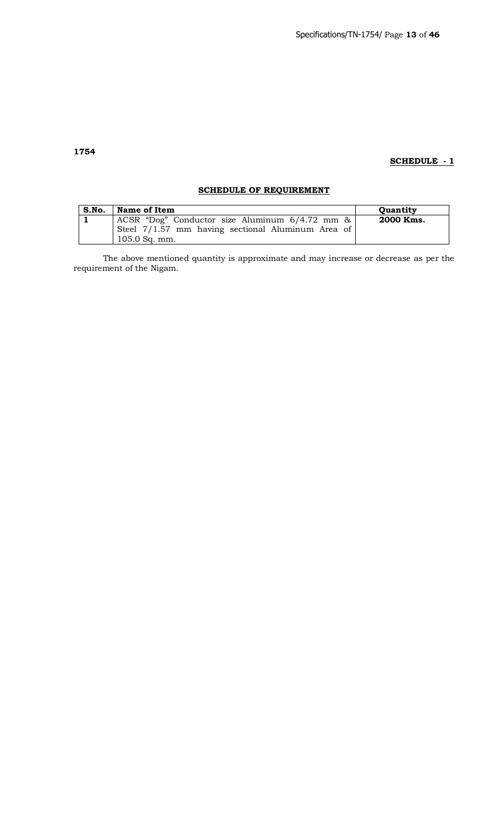# **SCHEDULE - 1**

# **SCHEDULE OF REQUIREMENT**

| S.No. | Name of Item                                                         | <b>Ouantity</b> |
|-------|----------------------------------------------------------------------|-----------------|
|       | ACSR "Dog" Conductor size Aluminum 6/4.72 mm &                       | 2000 Kms.       |
|       | Steel 7/1.57 mm having sectional Aluminum Area of<br>$105.0$ Sq. mm. |                 |

The above mentioned quantity is approximate and may increase or decrease as per the requirement of the Nigam.

# **1754**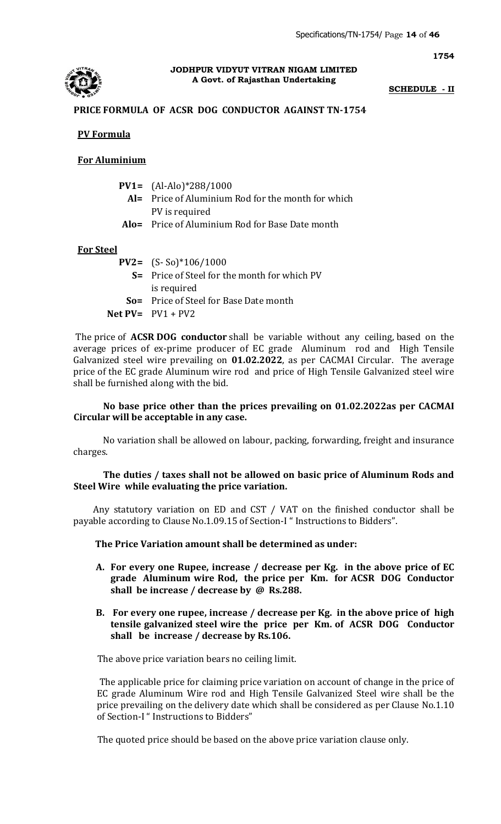

## **JODHPUR VIDYUT VITRAN NIGAM LIMITED A Govt. of Rajasthan Undertaking**

# **SCHEDULE - II**

**1754**

# **PRICE FORMULA OF ACSR DOG CONDUCTOR AGAINST TN-1754**

# **PV Formula**

# **For Aluminium**

|  | <b>PV1=</b> $(Al-Alo)*288/1000$ |
|--|---------------------------------|
|--|---------------------------------|

- **Al=** Price of Aluminium Rod for the month for which PV is required
- **Alo=** Price of Aluminium Rod for Base Date month

# **For Steel**

- **PV2=** (S- So)\*106/1000  **S=** Price of Steel for the month for which PV
	- is required
	- **So=** Price of Steel for Base Date month
- **Net PV=** PV1 + PV2

The price of **ACSR DOG conductor** shall be variable without any ceiling, based on the average prices of ex-prime producer of EC grade Aluminum rod and High Tensile Galvanized steel wire prevailing on **01.02.2022**, as per CACMAI Circular. The average price of the EC grade Aluminum wire rod and price of High Tensile Galvanized steel wire shall be furnished along with the bid.

# **No base price other than the prices prevailing on 01.02.2022as per CACMAI Circular will be acceptable in any case.**

No variation shall be allowed on labour, packing, forwarding, freight and insurance charges.

# **The duties / taxes shall not be allowed on basic price of Aluminum Rods and Steel Wire while evaluating the price variation.**

 Any statutory variation on ED and CST / VAT on the finished conductor shall be payable according to Clause No.1.09.15 of Section-I " Instructions to Bidders".

**The Price Variation amount shall be determined as under:** 

- **A. For every one Rupee, increase / decrease per Kg. in the above price of EC grade Aluminum wire Rod, the price per Km. for ACSR DOG Conductor shall be increase / decrease by @ Rs.288.**
- **B. For every one rupee, increase / decrease per Kg. in the above price of high tensile galvanized steel wire the price per Km. of ACSR DOG Conductor shall be increase / decrease by Rs.106.**

The above price variation bears no ceiling limit.

 The applicable price for claiming price variation on account of change in the price of EC grade Aluminum Wire rod and High Tensile Galvanized Steel wire shall be the price prevailing on the delivery date which shall be considered as per Clause No.1.10 of Section-I " Instructions to Bidders"

The quoted price should be based on the above price variation clause only.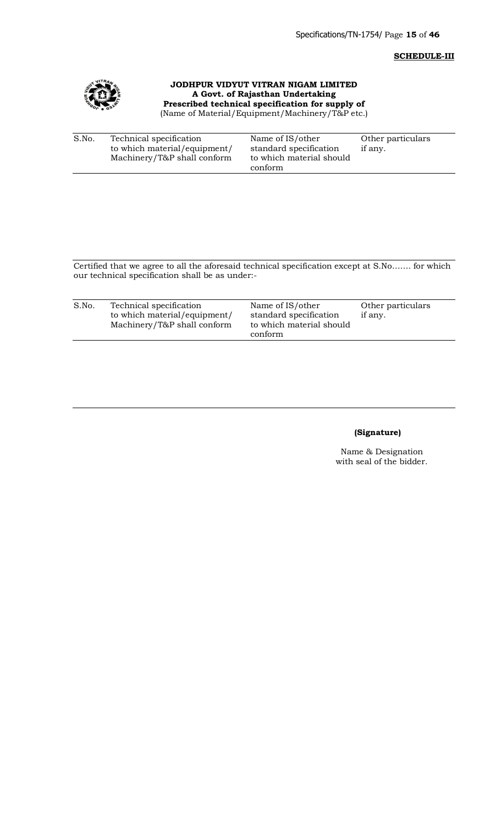# **SCHEDULE-III**



**JODHPUR VIDYUT VITRAN NIGAM LIMITED A Govt. of Rajasthan Undertaking Prescribed technical specification for supply of**  (Name of Material/Equipment/Machinery/T&P etc.)

| S.No. | Technical specification      | Name of IS/other         | Other particulars |
|-------|------------------------------|--------------------------|-------------------|
|       | to which material/equipment/ | standard specification   | if any.           |
|       | Machinery/T&P shall conform  | to which material should |                   |
|       |                              | conform                  |                   |

Certified that we agree to all the aforesaid technical specification except at S.No……. for which our technical specification shall be as under:-

| S.No. | Technical specification<br>to which material/equipment/<br>Machinery/T&P shall conform | Name of IS/other<br>standard specification<br>to which material should<br>conform | Other particulars<br>if any. |
|-------|----------------------------------------------------------------------------------------|-----------------------------------------------------------------------------------|------------------------------|
|-------|----------------------------------------------------------------------------------------|-----------------------------------------------------------------------------------|------------------------------|

# **(Signature)**

Name & Designation with seal of the bidder.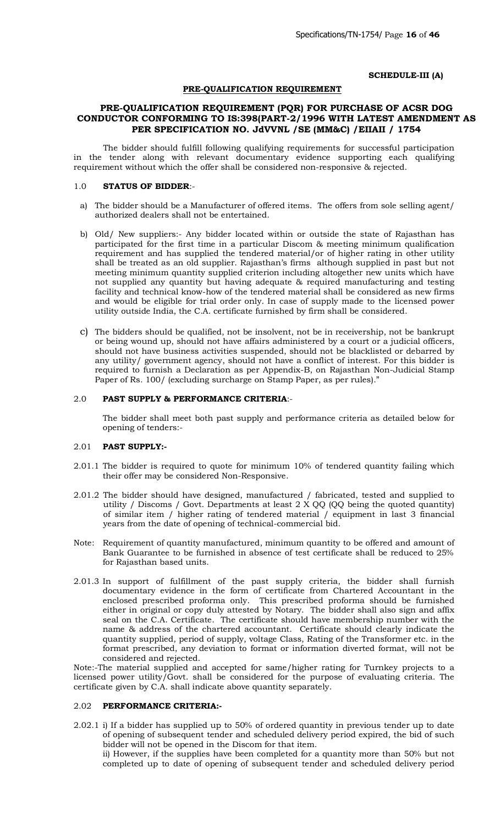## **SCHEDULE-III (A)**

## **PRE-QUALIFICATION REQUIREMENT**

# **PRE-QUALIFICATION REQUIREMENT (PQR) FOR PURCHASE OF ACSR DOG CONDUCTOR CONFORMING TO IS:398(PART-2/1996 WITH LATEST AMENDMENT AS PER SPECIFICATION NO. JdVVNL /SE (MM&C) /EIIAII / 1754**

The bidder should fulfill following qualifying requirements for successful participation in the tender along with relevant documentary evidence supporting each qualifying requirement without which the offer shall be considered non-responsive & rejected.

#### 1.0 **STATUS OF BIDDER**:-

- a) The bidder should be a Manufacturer of offered items. The offers from sole selling agent/ authorized dealers shall not be entertained.
- b) Old/ New suppliers:- Any bidder located within or outside the state of Rajasthan has participated for the first time in a particular Discom & meeting minimum qualification requirement and has supplied the tendered material/or of higher rating in other utility shall be treated as an old supplier. Rajasthan's firms although supplied in past but not meeting minimum quantity supplied criterion including altogether new units which have not supplied any quantity but having adequate & required manufacturing and testing facility and technical know-how of the tendered material shall be considered as new firms and would be eligible for trial order only. In case of supply made to the licensed power utility outside India, the C.A. certificate furnished by firm shall be considered.
- c) The bidders should be qualified, not be insolvent, not be in receivership, not be bankrupt or being wound up, should not have affairs administered by a court or a judicial officers, should not have business activities suspended, should not be blacklisted or debarred by any utility/ government agency, should not have a conflict of interest. For this bidder is required to furnish a Declaration as per Appendix-B, on Rajasthan Non-Judicial Stamp Paper of Rs. 100/ (excluding surcharge on Stamp Paper, as per rules)."

## 2.0 **PAST SUPPLY & PERFORMANCE CRITERIA**:-

The bidder shall meet both past supply and performance criteria as detailed below for opening of tenders:-

#### 2.01 **PAST SUPPLY:-**

- 2.01.1 The bidder is required to quote for minimum 10% of tendered quantity failing which their offer may be considered Non-Responsive.
- 2.01.2 The bidder should have designed, manufactured / fabricated, tested and supplied to utility / Discoms / Govt. Departments at least 2 X QQ (QQ being the quoted quantity) of similar item / higher rating of tendered material / equipment in last 3 financial years from the date of opening of technical-commercial bid.
- Note: Requirement of quantity manufactured, minimum quantity to be offered and amount of Bank Guarantee to be furnished in absence of test certificate shall be reduced to 25% for Rajasthan based units.
- 2.01.3 In support of fulfillment of the past supply criteria, the bidder shall furnish documentary evidence in the form of certificate from Chartered Accountant in the enclosed prescribed proforma only. This prescribed proforma should be furnished either in original or copy duly attested by Notary. The bidder shall also sign and affix seal on the C.A. Certificate. The certificate should have membership number with the name & address of the chartered accountant. Certificate should clearly indicate the quantity supplied, period of supply, voltage Class, Rating of the Transformer etc. in the format prescribed, any deviation to format or information diverted format, will not be considered and rejected.

Note:-The material supplied and accepted for same/higher rating for Turnkey projects to a licensed power utility/Govt. shall be considered for the purpose of evaluating criteria. The certificate given by C.A. shall indicate above quantity separately.

# 2.02 **PERFORMANCE CRITERIA:-**

2.02.1 i) If a bidder has supplied up to 50% of ordered quantity in previous tender up to date of opening of subsequent tender and scheduled delivery period expired, the bid of such bidder will not be opened in the Discom for that item.

ii) However, if the supplies have been completed for a quantity more than 50% but not completed up to date of opening of subsequent tender and scheduled delivery period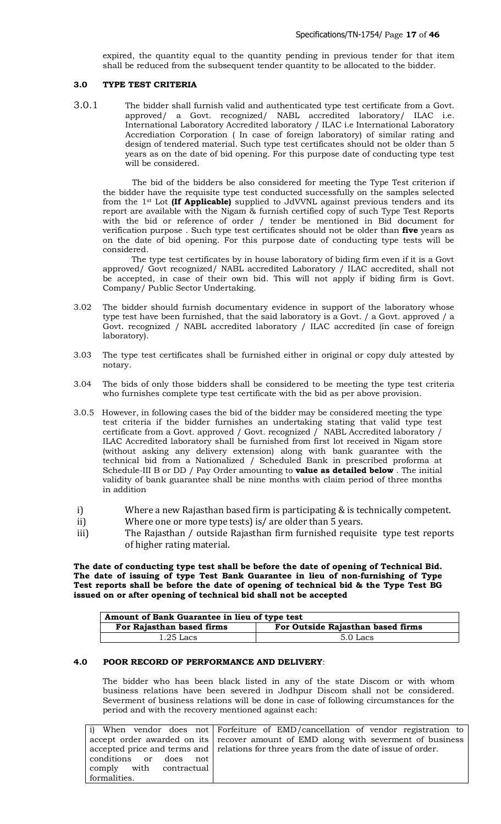expired, the quantity equal to the quantity pending in previous tender for that item shall be reduced from the subsequent tender quantity to be allocated to the bidder.

## **3.0 TYPE TEST CRITERIA**

3.0.1 The bidder shall furnish valid and authenticated type test certificate from a Govt. approved/ a Govt. recognized/ NABL accredited laboratory/ ILAC i.e. International Laboratory Accredited laboratory / ILAC i.e International Laboratory Accrediation Corporation ( In case of foreign laboratory) of similar rating and design of tendered material. Such type test certificates should not be older than 5 years as on the date of bid opening. For this purpose date of conducting type test will be considered.

The bid of the bidders be also considered for meeting the Type Test criterion if the bidder have the requisite type test conducted successfully on the samples selected from the 1st Lot **(If Applicable)** supplied to JdVVNL against previous tenders and its report are available with the Nigam & furnish certified copy of such Type Test Reports with the bid or reference of order / tender be mentioned in Bid document for verification purpose . Such type test certificates should not be older than **five** years as on the date of bid opening. For this purpose date of conducting type tests will be considered.

The type test certificates by in house laboratory of biding firm even if it is a Govt approved/ Govt recognized/ NABL accredited Laboratory / ILAC accredited, shall not be accepted, in case of their own bid. This will not apply if biding firm is Govt. Company/ Public Sector Undertaking.

- 3.02 The bidder should furnish documentary evidence in support of the laboratory whose type test have been furnished, that the said laboratory is a Govt. / a Govt. approved / a Govt. recognized / NABL accredited laboratory / ILAC accredited (in case of foreign laboratory).
- 3.03 The type test certificates shall be furnished either in original or copy duly attested by notary.
- 3.04 The bids of only those bidders shall be considered to be meeting the type test criteria who furnishes complete type test certificate with the bid as per above provision.
- 3.0.5 However, in following cases the bid of the bidder may be considered meeting the type test criteria if the bidder furnishes an undertaking stating that valid type test certificate from a Govt. approved / Govt. recognized / NABL Accredited laboratory / ILAC Accredited laboratory shall be furnished from first lot received in Nigam store (without asking any delivery extension) along with bank guarantee with the technical bid from a Nationalized / Scheduled Bank in prescribed proforma at Schedule-III B or DD / Pay Order amounting to **value as detailed below** . The initial validity of bank guarantee shall be nine months with claim period of three months in addition
- i) Where a new Rajasthan based firm is participating & is technically competent.
- ii) Where one or more type tests) is/ are older than 5 years.
- iii) The Rajasthan / outside Rajasthan firm furnished requisite type test reports of higher rating material.

**The date of conducting type test shall be before the date of opening of Technical Bid. The date of issuing of type Test Bank Guarantee in lieu of non-furnishing of Type Test reports shall be before the date of opening of technical bid & the Type Test BG issued on or after opening of technical bid shall not be accepted**

| Amount of Bank Guarantee in lieu of type test                  |  |  |  |  |
|----------------------------------------------------------------|--|--|--|--|
| For Outside Rajasthan based firms<br>For Rajasthan based firms |  |  |  |  |
| $1.25$ Lacs<br>5.0 Lacs                                        |  |  |  |  |

# **4.0 POOR RECORD OF PERFORMANCE AND DELIVERY**:

The bidder who has been black listed in any of the state Discom or with whom business relations have been severed in Jodhpur Discom shall not be considered. Severment of business relations will be done in case of following circumstances for the period and with the recovery mentioned against each:

|                         | i) When vendor does not Forfeiture of EMD/cancellation of vendor registration to        |
|-------------------------|-----------------------------------------------------------------------------------------|
|                         | accept order awarded on its recover amount of EMD along with severment of business      |
|                         | accepted price and terms and relations for three years from the date of issue of order. |
| conditions or does not  |                                                                                         |
| comply with contractual |                                                                                         |
| formalities.            |                                                                                         |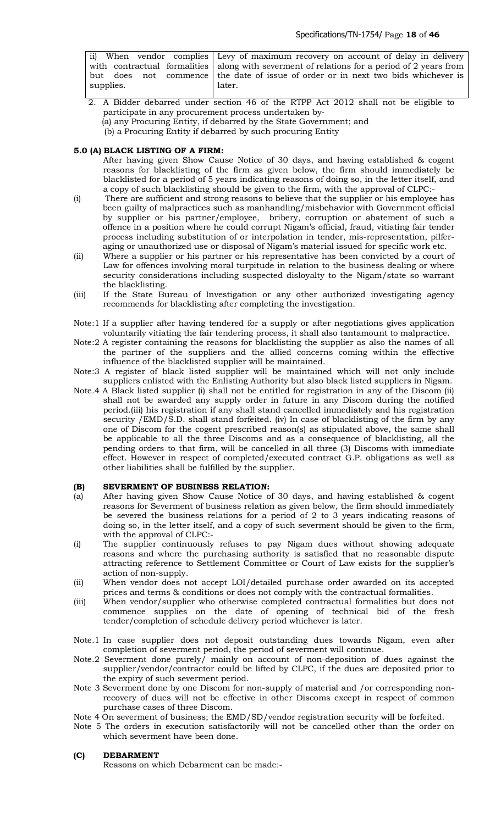|           | ii) When vendor complies Levy of maximum recovery on account of delay in delivery           |
|-----------|---------------------------------------------------------------------------------------------|
|           | with contractual formalities along with severment of relations for a period of 2 years from |
|           | but does not commence the date of issue of order or in next two bids whichever is           |
| supplies. | later.                                                                                      |
|           |                                                                                             |

- 2. A Bidder debarred under section 46 of the RTPP Act 2012 shall not be eligible to participate in any procurement process undertaken by‐
	- (a) any Procuring Entity, if debarred by the State Government; and
	- (b) a Procuring Entity if debarred by such procuring Entity

# **5.0 (A) BLACK LISTING OF A FIRM:**

After having given Show Cause Notice of 30 days, and having established & cogent reasons for blacklisting of the firm as given below, the firm should immediately be blacklisted for a period of 5 years indicating reasons of doing so, in the letter itself, and a copy of such blacklisting should be given to the firm, with the approval of CLPC:-

- (i) There are sufficient and strong reasons to believe that the supplier or his employee has been guilty of malpractices such as manhandling/misbehavior with Government official by supplier or his partner/employee, bribery, corruption or abatement of such a offence in a position where he could corrupt Nigam's official, fraud, vitiating fair tender process including substitution of or interpolation in tender, mis-representation, pilferaging or unauthorized use or disposal of Nigam's material issued for specific work etc.
- (ii) Where a supplier or his partner or his representative has been convicted by a court of Law for offences involving moral turpitude in relation to the business dealing or where security considerations including suspected disloyalty to the Nigam/state so warrant the blacklisting.
- (iii) If the State Bureau of Investigation or any other authorized investigating agency recommends for blacklisting after completing the investigation.
- Note:1 If a supplier after having tendered for a supply or after negotiations gives application voluntarily vitiating the fair tendering process, it shall also tantamount to malpractice.
- Note:2 A register containing the reasons for blacklisting the supplier as also the names of all the partner of the suppliers and the allied concerns coming within the effective influence of the blacklisted supplier will be maintained.
- Note:3 A register of black listed supplier will be maintained which will not only include suppliers enlisted with the Enlisting Authority but also black listed suppliers in Nigam.
- Note.4 A Black listed supplier (i) shall not be entitled for registration in any of the Discom (ii) shall not be awarded any supply order in future in any Discom during the notified period.(iii) his registration if any shall stand cancelled immediately and his registration security /EMD/S.D. shall stand forfeited. (iv) In case of blacklisting of the firm by any one of Discom for the cogent prescribed reason(s) as stipulated above, the same shall be applicable to all the three Discoms and as a consequence of blacklisting, all the pending orders to that firm, will be cancelled in all three (3) Discoms with immediate effect. However in respect of completed/executed contract G.P. obligations as well as other liabilities shall be fulfilled by the supplier.

## **(B) SEVERMENT OF BUSINESS RELATION:**

- (a) After having given Show Cause Notice of 30 days, and having established & cogent reasons for Severment of business relation as given below, the firm should immediately be severed the business relations for a period of 2 to 3 years indicating reasons of doing so, in the letter itself, and a copy of such severment should be given to the firm, with the approval of CLPC:-
- (i) The supplier continuously refuses to pay Nigam dues without showing adequate reasons and where the purchasing authority is satisfied that no reasonable dispute attracting reference to Settlement Committee or Court of Law exists for the supplier's action of non-supply.
- (ii) When vendor does not accept LOI/detailed purchase order awarded on its accepted prices and terms & conditions or does not comply with the contractual formalities.
- (iii) When vendor/supplier who otherwise completed contractual formalities but does not commence supplies on the date of opening of technical bid of the fresh tender/completion of schedule delivery period whichever is later.
- Note.1 In case supplier does not deposit outstanding dues towards Nigam, even after completion of severment period, the period of severment will continue.
- Note.2 Severment done purely/ mainly on account of non-deposition of dues against the supplier/vendor/contractor could be lifted by CLPC, if the dues are deposited prior to the expiry of such severment period.
- Note 3 Severment done by one Discom for non-supply of material and /or corresponding nonrecovery of dues will not be effective in other Discoms except in respect of common purchase cases of three Discom.
- Note 4 On severment of business; the EMD/SD/vendor registration security will be forfeited.
- Note 5 The orders in execution satisfactorily will not be cancelled other than the order on which severment have been done.

## **(C) DEBARMENT**

Reasons on which Debarment can be made:-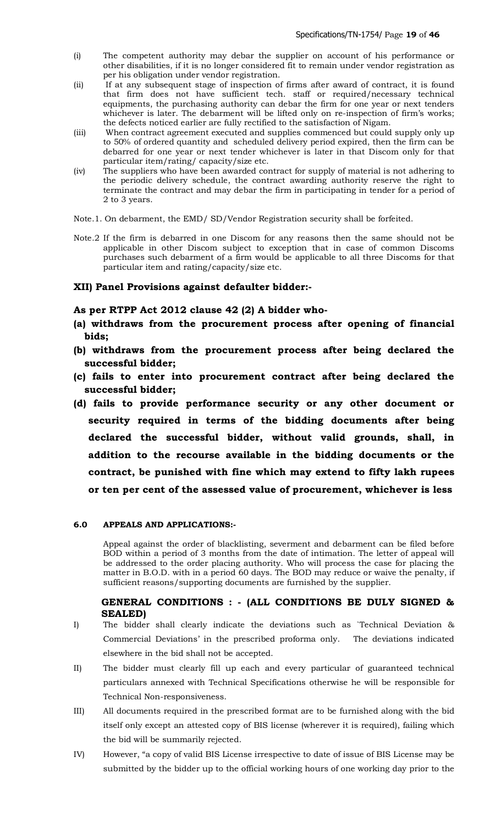- (i) The competent authority may debar the supplier on account of his performance or other disabilities, if it is no longer considered fit to remain under vendor registration as per his obligation under vendor registration.
- (ii) If at any subsequent stage of inspection of firms after award of contract, it is found that firm does not have sufficient tech. staff or required/necessary technical equipments, the purchasing authority can debar the firm for one year or next tenders whichever is later. The debarment will be lifted only on re-inspection of firm's works; the defects noticed earlier are fully rectified to the satisfaction of Nigam.
- (iii) When contract agreement executed and supplies commenced but could supply only up to 50% of ordered quantity and scheduled delivery period expired, then the firm can be debarred for one year or next tender whichever is later in that Discom only for that particular item/rating/ capacity/size etc.
- (iv) The suppliers who have been awarded contract for supply of material is not adhering to the periodic delivery schedule, the contract awarding authority reserve the right to terminate the contract and may debar the firm in participating in tender for a period of 2 to 3 years.
- Note.1. On debarment, the EMD/ SD/Vendor Registration security shall be forfeited.
- Note.2 If the firm is debarred in one Discom for any reasons then the same should not be applicable in other Discom subject to exception that in case of common Discoms purchases such debarment of a firm would be applicable to all three Discoms for that particular item and rating/capacity/size etc.

# **XII) Panel Provisions against defaulter bidder:-**

# **As per RTPP Act 2012 clause 42 (2) A bidder who-**

- **(a) withdraws from the procurement process after opening of financial bids;**
- **(b) withdraws from the procurement process after being declared the successful bidder;**
- **(c) fails to enter into procurement contract after being declared the successful bidder;**
- **(d) fails to provide performance security or any other document or security required in terms of the bidding documents after being declared the successful bidder, without valid grounds, shall, in addition to the recourse available in the bidding documents or the contract, be punished with fine which may extend to fifty lakh rupees or ten per cent of the assessed value of procurement, whichever is less**

# **6.0 APPEALS AND APPLICATIONS:-**

Appeal against the order of blacklisting, severment and debarment can be filed before BOD within a period of 3 months from the date of intimation. The letter of appeal will be addressed to the order placing authority. Who will process the case for placing the matter in B.O.D. with in a period 60 days. The BOD may reduce or waive the penalty, if sufficient reasons/supporting documents are furnished by the supplier.

# **GENERAL CONDITIONS : - (ALL CONDITIONS BE DULY SIGNED & SEALED)**

- I) The bidder shall clearly indicate the deviations such as `Technical Deviation & Commercial Deviations' in the prescribed proforma only. The deviations indicated elsewhere in the bid shall not be accepted.
- II) The bidder must clearly fill up each and every particular of guaranteed technical particulars annexed with Technical Specifications otherwise he will be responsible for Technical Non-responsiveness.
- III) All documents required in the prescribed format are to be furnished along with the bid itself only except an attested copy of BIS license (wherever it is required), failing which the bid will be summarily rejected.
- IV) However, "a copy of valid BIS License irrespective to date of issue of BIS License may be submitted by the bidder up to the official working hours of one working day prior to the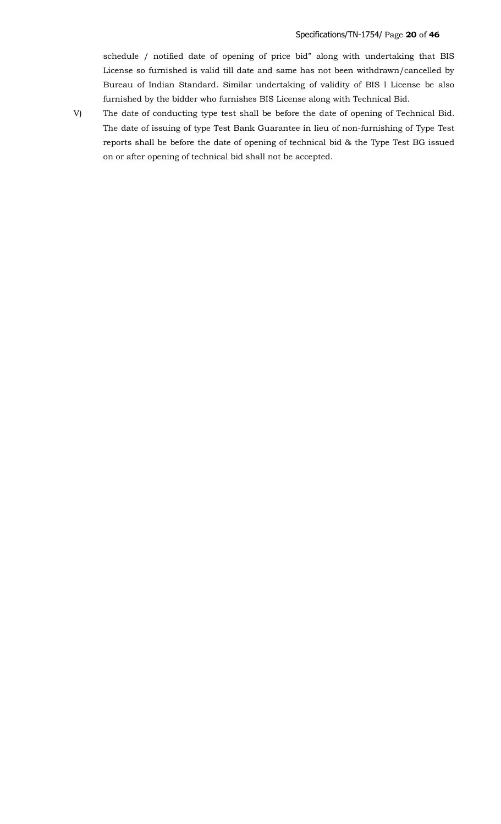schedule / notified date of opening of price bid" along with undertaking that BIS License so furnished is valid till date and same has not been withdrawn/cancelled by Bureau of Indian Standard. Similar undertaking of validity of BIS l License be also furnished by the bidder who furnishes BIS License along with Technical Bid.

V) The date of conducting type test shall be before the date of opening of Technical Bid. The date of issuing of type Test Bank Guarantee in lieu of non-furnishing of Type Test reports shall be before the date of opening of technical bid & the Type Test BG issued on or after opening of technical bid shall not be accepted.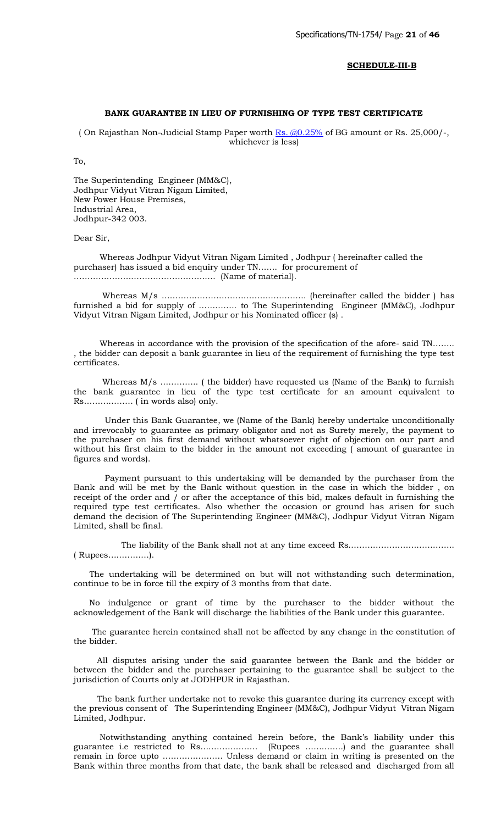#### **SCHEDULE-III-B**

## **BANK GUARANTEE IN LIEU OF FURNISHING OF TYPE TEST CERTIFICATE**

( On Rajasthan Non-Judicial Stamp Paper worth  $\frac{Rs}{(0.25\%)}$  of BG amount or Rs. 25,000/-, whichever is less)

To,

The Superintending Engineer (MM&C), Jodhpur Vidyut Vitran Nigam Limited, New Power House Premises, Industrial Area, Jodhpur-342 003.

Dear Sir,

 Whereas Jodhpur Vidyut Vitran Nigam Limited , Jodhpur ( hereinafter called the purchaser) has issued a bid enquiry under TN……. for procurement of ……………………………………………. (Name of material).

 Whereas M/s …………………………………………….. (hereinafter called the bidder ) has furnished a bid for supply of ………….. to The [Superintendi](mailto:Rs.@0.25%)ng Engineer (MM&C), Jodhpur Vidyut Vitran Nigam Limited, Jodhpur or his Nominated officer (s) .

 Whereas in accordance with the provision of the specification of the afore- said TN…….. , the bidder can deposit a bank guarantee in lieu of the requirement of furnishing the type test certificates.

 Whereas M/s ………….. ( the bidder) have requested us (Name of the Bank) to furnish the bank guarantee in lieu of the type test certificate for an amount equivalent to Rs……………… ( in words also) only.

 Under this Bank Guarantee, we (Name of the Bank) hereby undertake unconditionally and irrevocably to guarantee as primary obligator and not as Surety merely, the payment to the purchaser on his first demand without whatsoever right of objection on our part and without his first claim to the bidder in the amount not exceeding ( amount of guarantee in figures and words).

 Payment pursuant to this undertaking will be demanded by the purchaser from the Bank and will be met by the Bank without question in the case in which the bidder , on receipt of the order and / or after the acceptance of this bid, makes default in furnishing the required type test certificates. Also whether the occasion or ground has arisen for such demand the decision of The Superintending Engineer (MM&C), Jodhpur Vidyut Vitran Nigam Limited, shall be final.

The liability of the Bank shall not at any time exceed Rs…………………………………………………………… ( Rupees……………).

 The undertaking will be determined on but will not withstanding such determination, continue to be in force till the expiry of 3 months from that date.

 No indulgence or grant of time by the purchaser to the bidder without the acknowledgement of the Bank will discharge the liabilities of the Bank under this guarantee.

 The guarantee herein contained shall not be affected by any change in the constitution of the bidder.

 All disputes arising under the said guarantee between the Bank and the bidder or between the bidder and the purchaser pertaining to the guarantee shall be subject to the jurisdiction of Courts only at JODHPUR in Rajasthan.

 The bank further undertake not to revoke this guarantee during its currency except with the previous consent of The Superintending Engineer (MM&C), Jodhpur Vidyut Vitran Nigam Limited, Jodhpur.

 Notwithstanding anything contained herein before, the Bank's liability under this guarantee i.e restricted to Rs………………… (Rupees …………..) and the guarantee shall remain in force upto …………………. Unless demand or claim in writing is presented on the Bank within three months from that date, the bank shall be released and discharged from all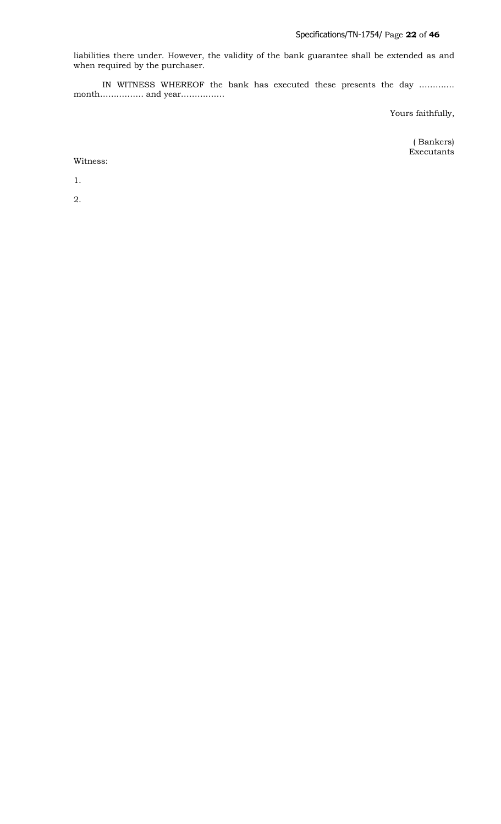liabilities there under. However, the validity of the bank guarantee shall be extended as and when required by the purchaser.

 IN WITNESS WHEREOF the bank has executed these presents the day …………. month……………. and year…………….

Yours faithfully,

 ( Bankers) Executants

Witness:

1.

2.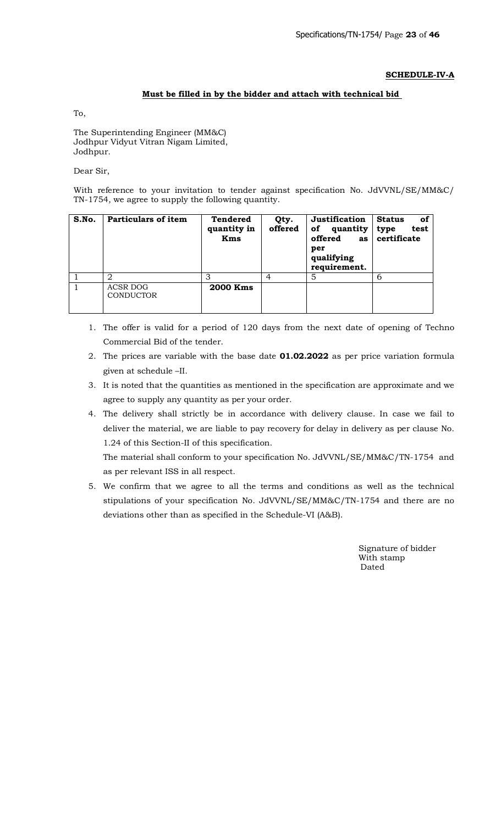# **SCHEDULE-IV-A**

# **Must be filled in by the bidder and attach with technical bid**

To,

The Superintending Engineer (MM&C) Jodhpur Vidyut Vitran Nigam Limited, Jodhpur.

Dear Sir,

With reference to your invitation to tender against specification No. JdVVNL/SE/MM&C/ TN-1754, we agree to supply the following quantity.

| S.No. | Particulars of item                 | <b>Tendered</b><br>quantity in<br><b>Kms</b> | Qty.<br>offered | Justification<br>quantity<br>оf<br>offered<br>as<br>per<br>qualifying<br>requirement. | <b>Status</b><br>оf<br>test<br>type<br>certificate |
|-------|-------------------------------------|----------------------------------------------|-----------------|---------------------------------------------------------------------------------------|----------------------------------------------------|
|       | 2                                   | 3                                            | 4               | 5                                                                                     | 6                                                  |
|       | <b>ACSR DOG</b><br><b>CONDUCTOR</b> | <b>2000 Kms</b>                              |                 |                                                                                       |                                                    |

- 1. The offer is valid for a period of 120 days from the next date of opening of Techno Commercial Bid of the tender.
- 2. The prices are variable with the base date **01.02.2022** as per price variation formula given at schedule –II.
- 3. It is noted that the quantities as mentioned in the specification are approximate and we agree to supply any quantity as per your order.
- 4. The delivery shall strictly be in accordance with delivery clause. In case we fail to deliver the material, we are liable to pay recovery for delay in delivery as per clause No. 1.24 of this Section-II of this specification.

The material shall conform to your specification No. JdVVNL/SE/MM&C/TN-1754 and as per relevant ISS in all respect.

5. We confirm that we agree to all the terms and conditions as well as the technical stipulations of your specification No. JdVVNL/SE/MM&C/TN-1754 and there are no deviations other than as specified in the Schedule-VI (A&B).

> Signature of bidder With stamp discussion of the contract of the Dated Dated States of the United States of the United States of the United States of the United States of the United States of the United States of the United States of the United States o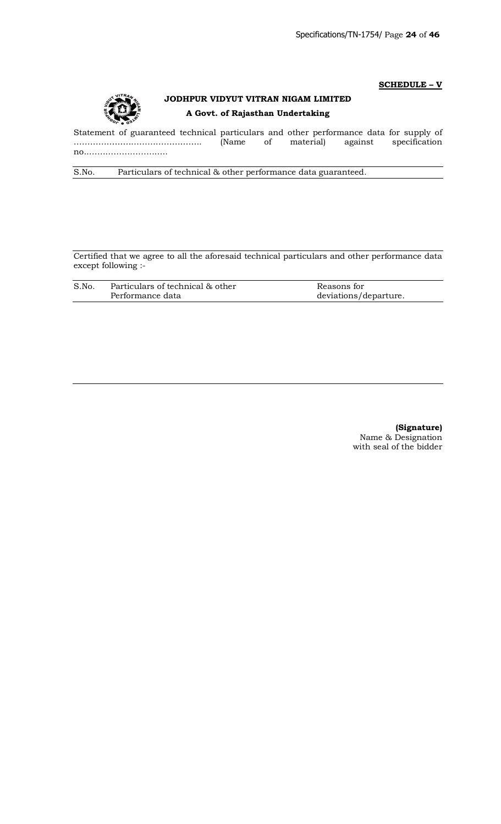## **SCHEDULE – V**



# **JODHPUR VIDYUT VITRAN NIGAM LIMITED A Govt. of Rajasthan Undertaking**

Statement of guaranteed technical particulars and other performance data for supply of ……………………………………….. (Name of material) against specification no..………………………..

S.No. Particulars of technical & other performance data guaranteed.

Certified that we agree to all the aforesaid technical particulars and other performance data except following :-

| S.No. | Particulars of technical & other | Reasons for           |
|-------|----------------------------------|-----------------------|
|       | Performance data                 | deviations/departure. |

**(Signature)** Name & Designation with seal of the bidder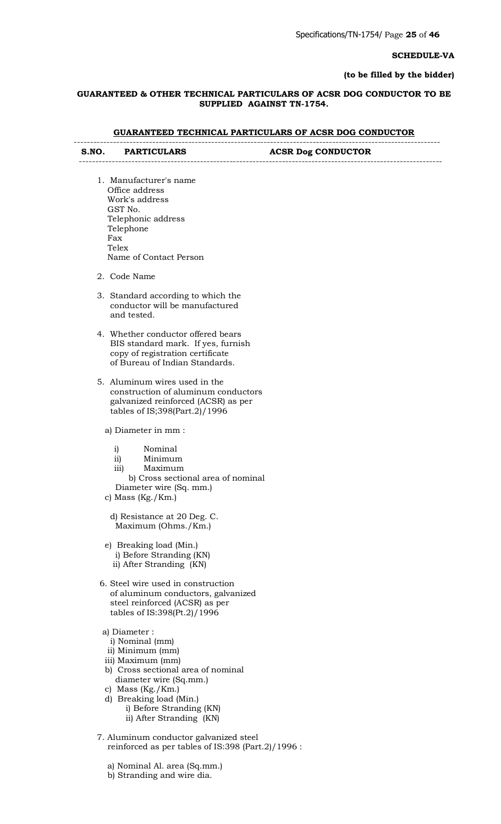#### **SCHEDULE-VA**

## **(to be filled by the bidder)**

## **GUARANTEED & OTHER TECHNICAL PARTICULARS OF ACSR DOG CONDUCTOR TO BE SUPPLIED AGAINST TN-1754.**

# **GUARANTEED TECHNICAL PARTICULARS OF ACSR DOG CONDUCTOR**

| S.NO. | <b>PARTICULARS</b> | <b>ACSR Dog CONDUCTOR</b> |
|-------|--------------------|---------------------------|

- 1. Manufacturer's name Office address Work's address GST No. Telephonic address Telephone Fax **Telex** Name of Contact Person
- 2. Code Name
- 3. Standard according to which the conductor will be manufactured and tested.

---------------------------------------------------------------------------------------------------------------

- 4. Whether conductor offered bears BIS standard mark. If yes, furnish copy of registration certificate of Bureau of Indian Standards.
- 5. Aluminum wires used in the construction of aluminum conductors galvanized reinforced (ACSR) as per tables of IS;398(Part.2)/1996
	- a) Diameter in mm :
		- i) Nominal
		- ii) Minimum
		- iii) Maximum

 b) Cross sectional area of nominal Diameter wire (Sq. mm.)

c) Mass (Kg./Km.)

 d) Resistance at 20 Deg. C. Maximum (Ohms./Km.)

- e) Breaking load (Min.) i) Before Stranding (KN) ii) After Stranding (KN)
- 6. Steel wire used in construction of aluminum conductors, galvanized steel reinforced (ACSR) as per tables of IS:398(Pt.2)/1996
- a) Diameter :
	- i) Nominal (mm)
- ii) Minimum (mm)
- iii) Maximum (mm)
- b) Cross sectional area of nominal diameter wire (Sq.mm.)
- c) Mass (Kg./Km.)
- d) Breaking load (Min.) i) Before Stranding (KN) ii) After Stranding (KN)
- 7. Aluminum conductor galvanized steel reinforced as per tables of IS:398 (Part.2)/1996 :
	- a) Nominal Al. area (Sq.mm.)

b) Stranding and wire dia.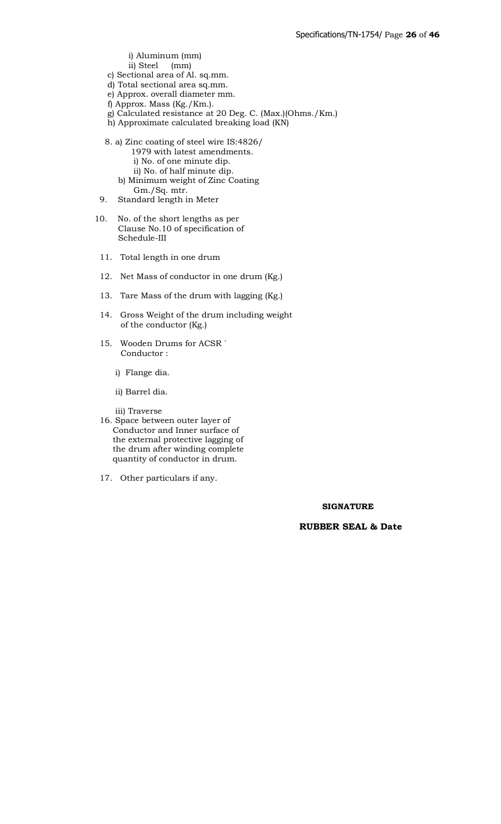# i) Aluminum (mm)

- ii) Steel (mm)
- c) Sectional area of Al. sq.mm.
- d) Total sectional area sq.mm.
- e) Approx. overall diameter mm.
- f) Approx. Mass (Kg./Km.).
- g) Calculated resistance at 20 Deg. C. (Max.)(Ohms./Km.)
- h) Approximate calculated breaking load (KN)
- 8. a) Zinc coating of steel wire IS:4826/
	- 1979 with latest amendments.
	- i) No. of one minute dip.
	- ii) No. of half minute dip. b) Minimum weight of Zinc Coating Gm./Sq. mtr.
- 9. Standard length in Meter
- 10. No. of the short lengths as per Clause No.10 of specification of Schedule-III
- 11. Total length in one drum
- 12. Net Mass of conductor in one drum (Kg.)
- 13. Tare Mass of the drum with lagging (Kg.)
- 14. Gross Weight of the drum including weight of the conductor (Kg.)
- 15. Wooden Drums for ACSR ` Conductor :
	- i) Flange dia.
	- ii) Barrel dia.

iii) Traverse

- 16. Space between outer layer of Conductor and Inner surface of the external protective lagging of the drum after winding complete quantity of conductor in drum.
- 17. Other particulars if any.

## **SIGNATURE**

# **RUBBER SEAL & Date**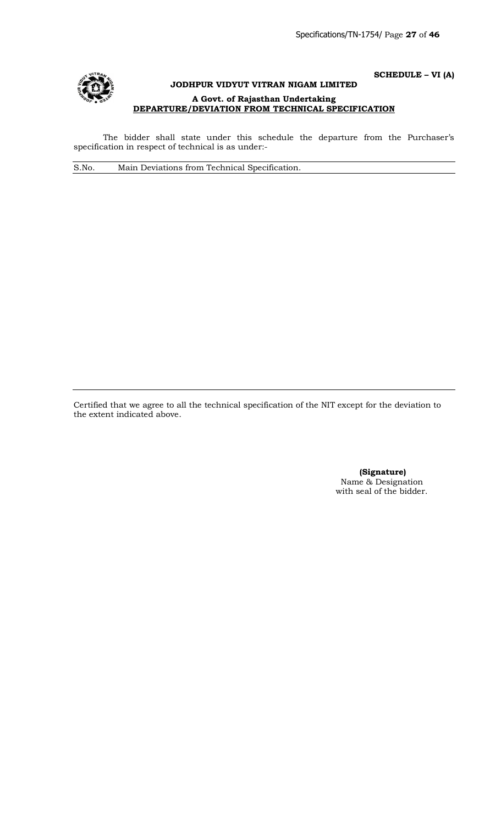

# **SCHEDULE – VI (A) JODHPUR VIDYUT VITRAN NIGAM LIMITED A Govt. of Rajasthan Undertaking DEPARTURE/DEVIATION FROM TECHNICAL SPECIFICATION**

The bidder shall state under this schedule the departure from the Purchaser's specification in respect of technical is as under:-

S.No. Main Deviations from Technical Specification.

Certified that we agree to all the technical specification of the NIT except for the deviation to the extent indicated above.

> **(Signature)** Name & Designation with seal of the bidder.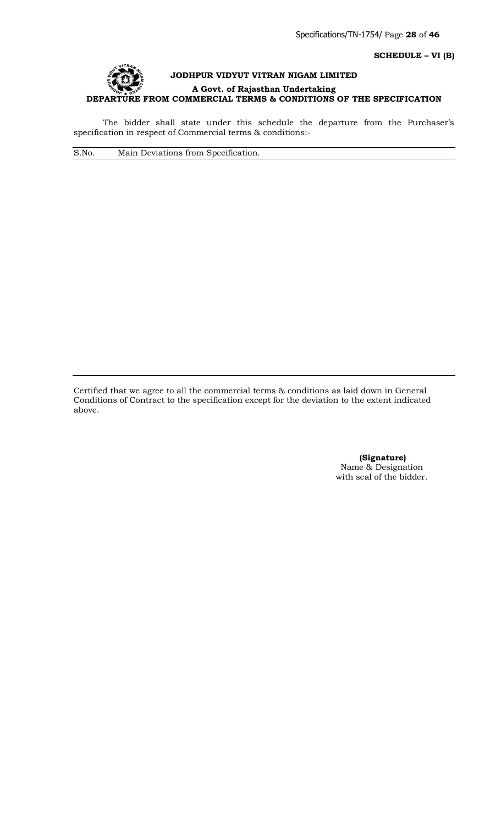**SCHEDULE – VI (B)**



The bidder shall state under this schedule the departure from the Purchaser's specification in respect of Commercial terms & conditions:-

S.No. Main Deviations from Specification.

Certified that we agree to all the commercial terms & conditions as laid down in General Conditions of Contract to the specification except for the deviation to the extent indicated above.

> **(Signature)** Name & Designation with seal of the bidder.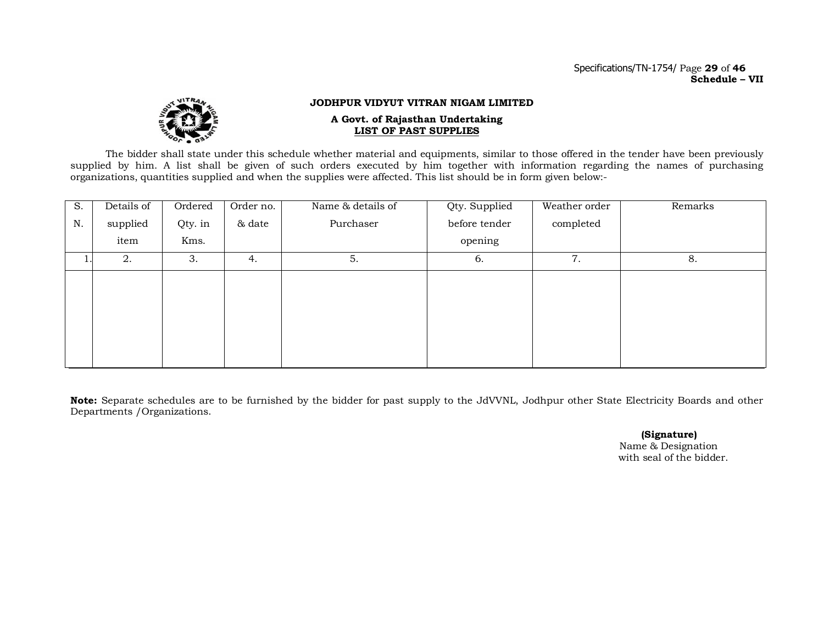#### Specifications/TN-1754/ Page **29** of **46 Schedule – VII**



#### **JODHPUR VIDYUT VITRAN NIGAM LIMITED**

#### **A Govt. of Rajasthan Undertaking LIST OF PAST SUPPLIES**

The bidder shall state under this schedule whether material and equipments, similar to those offered in the tender have been previously supplied by him. A list shall be given of such orders executed by him together with information regarding the names of purchasing organizations, quantities supplied and when the supplies were affected. This list should be in form given below:-

| S. | Details of | Ordered | Order no. | Name & details of | Qty. Supplied | Weather order | Remarks |
|----|------------|---------|-----------|-------------------|---------------|---------------|---------|
| N. | supplied   | Qty. in | & date    | Purchaser         | before tender | completed     |         |
|    | item       | Kms.    |           |                   | opening       |               |         |
|    | 2.         | 3.      | 4.        | 5.                | 6.            | 7.            | 8.      |
|    |            |         |           |                   |               |               |         |
|    |            |         |           |                   |               |               |         |
|    |            |         |           |                   |               |               |         |
|    |            |         |           |                   |               |               |         |
|    |            |         |           |                   |               |               |         |
|    |            |         |           |                   |               |               |         |

**Note:** Separate schedules are to be furnished by the bidder for past supply to the JdVVNL, Jodhpur other State Electricity Boards and other Departments /Organizations.

> **(Signature)** Name & Designation with seal of the bidder.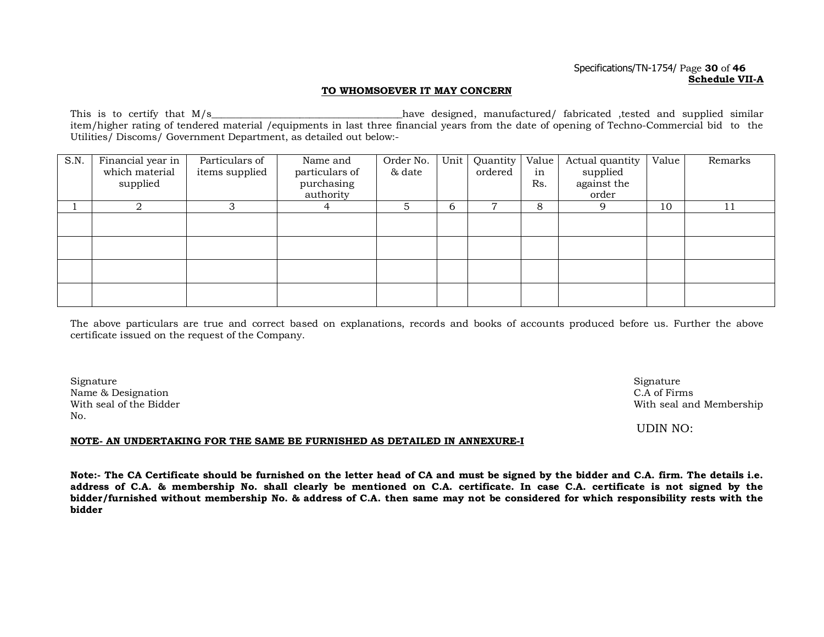#### Specifications/TN-1754/ Page **30** of **46 Schedule VII-A**

#### **TO WHOMSOEVER IT MAY CONCERN**

This is to certify that M/s and the second the state of the serience of the serience of the similar control of the similar similar similar  $\frac{1}{2}$  and supplied similar item/higher rating of tendered material /equipments in last three financial years from the date of opening of Techno-Commercial bid to the Utilities/ Discoms/ Government Department, as detailed out below:-

| S.N. | Financial year in<br>which material<br>supplied | Particulars of<br>items supplied | Name and<br>particulars of<br>purchasing | Order No.<br>& date | Unit | Quantity<br>ordered | Value<br>in<br>Rs. | Actual quantity<br>supplied<br>against the | Value | Remarks |
|------|-------------------------------------------------|----------------------------------|------------------------------------------|---------------------|------|---------------------|--------------------|--------------------------------------------|-------|---------|
|      |                                                 |                                  | authority                                |                     |      |                     |                    | order                                      |       |         |
|      | 2                                               | 3                                | 4                                        | 5                   | 6    | $\overline{7}$      | 8                  | 9                                          | 10    | 11      |
|      |                                                 |                                  |                                          |                     |      |                     |                    |                                            |       |         |
|      |                                                 |                                  |                                          |                     |      |                     |                    |                                            |       |         |
|      |                                                 |                                  |                                          |                     |      |                     |                    |                                            |       |         |
|      |                                                 |                                  |                                          |                     |      |                     |                    |                                            |       |         |
|      |                                                 |                                  |                                          |                     |      |                     |                    |                                            |       |         |

The above particulars are true and correct based on explanations, records and books of accounts produced before us. Further the above certificate issued on the request of the Company.

 ${\rm Signature}$  Signature  ${\rm Signature}$ Name & Designation C.A of Firms No.

With seal of the Bidder **With seal and Membership With seal and Membership** 

UDIN NO:

#### **NOTE- AN UNDERTAKING FOR THE SAME BE FURNISHED AS DETAILED IN ANNEXURE-I**

**Note:- The CA Certificate should be furnished on the letter head of CA and must be signed by the bidder and C.A. firm. The details i.e. address of C.A. & membership No. shall clearly be mentioned on C.A. certificate. In case C.A. certificate is not signed by the bidder/furnished without membership No. & address of C.A. then same may not be considered for which responsibility rests with the bidder**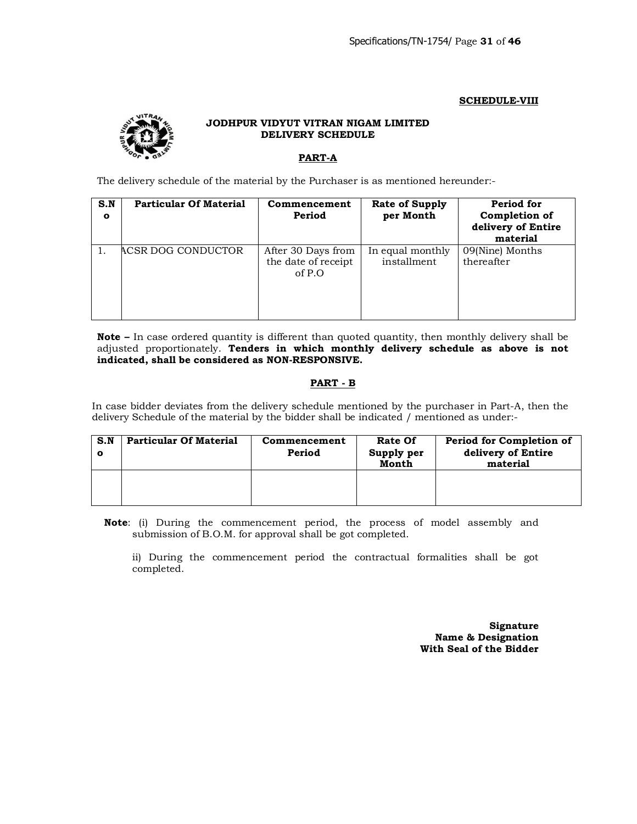## **SCHEDULE-VIII**



# **JODHPUR VIDYUT VITRAN NIGAM LIMITED DELIVERY SCHEDULE**

# **PART-A**

The delivery schedule of the material by the Purchaser is as mentioned hereunder:-

| S.N<br>$\mathbf{o}$ | <b>Particular Of Material</b> | Commencement<br>Period                                | <b>Rate of Supply</b><br>per Month | Period for<br>Completion of<br>delivery of Entire<br>material |
|---------------------|-------------------------------|-------------------------------------------------------|------------------------------------|---------------------------------------------------------------|
|                     | ACSR DOG CONDUCTOR            | After 30 Days from<br>the date of receipt<br>of $P.O$ | In equal monthly<br>installment    | 09(Nine) Months<br>thereafter                                 |

**Note –** In case ordered quantity is different than quoted quantity, then monthly delivery shall be adjusted proportionately. **Tenders in which monthly delivery schedule as above is not indicated, shall be considered as NON-RESPONSIVE.**

# **PART - B**

In case bidder deviates from the delivery schedule mentioned by the purchaser in Part-A, then the delivery Schedule of the material by the bidder shall be indicated / mentioned as under:-

| S.N | <b>Particular Of Material</b> | Commencement<br>Period | Rate Of<br>Supply per<br>Month | Period for Completion of<br>delivery of Entire<br>material |
|-----|-------------------------------|------------------------|--------------------------------|------------------------------------------------------------|
|     |                               |                        |                                |                                                            |

**Note**: (i) During the commencement period, the process of model assembly and submission of B.O.M. for approval shall be got completed.

ii) During the commencement period the contractual formalities shall be got completed.

> **Signature Name & Designation With Seal of the Bidder**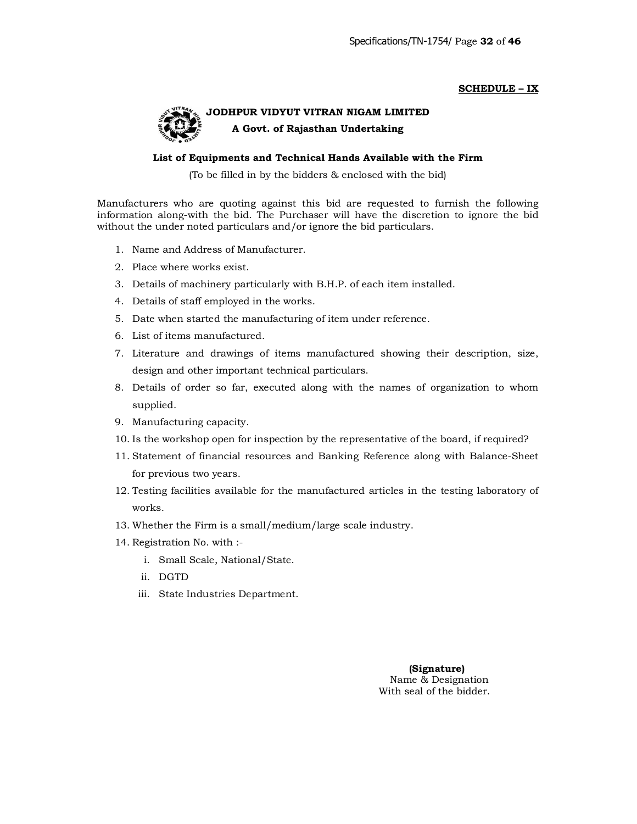#### **SCHEDULE – IX**



# **JODHPUR VIDYUT VITRAN NIGAM LIMITED A Govt. of Rajasthan Undertaking**

#### **List of Equipments and Technical Hands Available with the Firm**

(To be filled in by the bidders & enclosed with the bid)

Manufacturers who are quoting against this bid are requested to furnish the following information along-with the bid. The Purchaser will have the discretion to ignore the bid without the under noted particulars and/or ignore the bid particulars.

- 1. Name and Address of Manufacturer.
- 2. Place where works exist.
- 3. Details of machinery particularly with B.H.P. of each item installed.
- 4. Details of staff employed in the works.
- 5. Date when started the manufacturing of item under reference.
- 6. List of items manufactured.
- 7. Literature and drawings of items manufactured showing their description, size, design and other important technical particulars.
- 8. Details of order so far, executed along with the names of organization to whom supplied.
- 9. Manufacturing capacity.
- 10. Is the workshop open for inspection by the representative of the board, if required?
- 11. Statement of financial resources and Banking Reference along with Balance-Sheet for previous two years.
- 12. Testing facilities available for the manufactured articles in the testing laboratory of works.
- 13. Whether the Firm is a small/medium/large scale industry.
- 14. Registration No. with :
	- i. Small Scale, National/State.
	- ii. DGTD
	- iii. State Industries Department.

 **(Signature)** Name & Designation With seal of the bidder.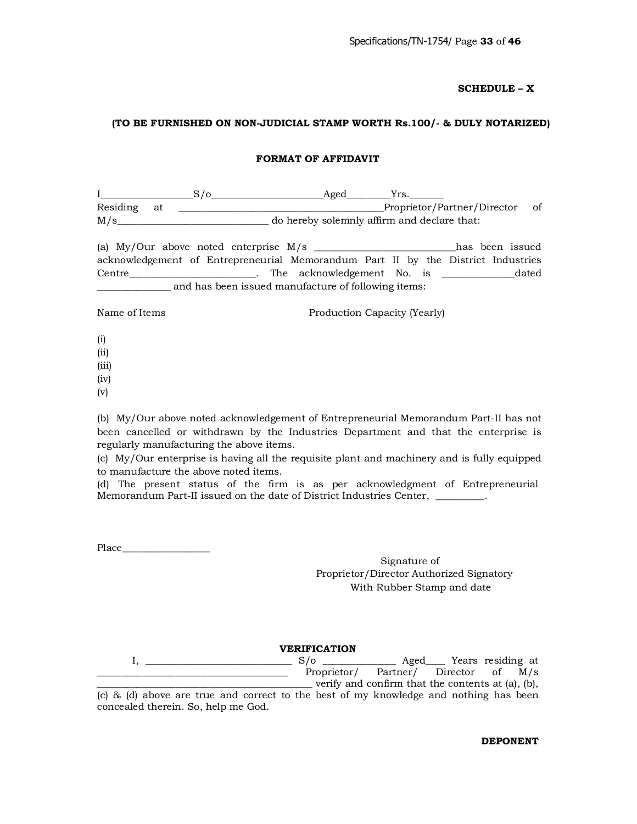## **SCHEDULE – X**

#### **(TO BE FURNISHED ON NON-JUDICIAL STAMP WORTH Rs.100/- & DULY NOTARIZED)**

#### **FORMAT OF AFFIDAVIT**

I\_\_\_\_\_\_\_\_\_\_\_\_\_\_\_\_\_\_\_S/o\_\_\_\_\_\_\_\_\_\_\_\_\_\_\_\_\_\_\_\_\_\_\_Aged\_\_\_\_\_\_\_\_\_Yrs.\_\_\_\_\_\_\_ Residing at \_\_\_\_\_\_\_\_\_\_\_\_\_\_\_\_\_\_\_\_\_\_\_\_\_\_\_\_\_\_\_\_\_\_\_\_\_\_\_\_\_\_Proprietor/Partner/Director of M/s\_\_\_\_\_\_\_\_\_\_\_\_\_\_\_\_\_\_\_\_\_\_\_\_\_\_\_\_\_\_\_ do hereby solemnly affirm and declare that:

(a) My/Our above noted enterprise M/s \_\_\_\_\_\_\_\_\_\_\_\_\_\_\_\_\_\_\_\_\_\_\_\_\_\_\_\_\_has been issued acknowledgement of Entrepreneurial Memorandum Part II by the District Industries Centre\_\_\_\_\_\_\_\_\_\_\_\_\_\_\_\_\_\_\_\_\_\_\_\_\_\_. The acknowledgement No. is \_\_\_\_\_\_\_\_\_\_\_\_\_\_\_dated \_\_\_\_\_\_\_\_\_\_\_\_\_\_\_ and has been issued manufacture of following items:

Name of Items **Production Capacity (Yearly)** 

- (i)
- (ii)
- (iii)
- (iv)
- (v)

(b) My/Our above noted acknowledgement of Entrepreneurial Memorandum Part-II has not been cancelled or withdrawn by the Industries Department and that the enterprise is regularly manufacturing the above items.

(c) My/Our enterprise is having all the requisite plant and machinery and is fully equipped to manufacture the above noted items.

(d) The present status of the firm is as per acknowledgment of Entrepreneurial Memorandum Part-II issued on the date of District Industries Center, \_\_\_\_\_\_\_\_\_\_.

Place\_\_\_\_\_\_\_\_\_\_\_\_\_\_\_\_\_\_

Signature of Proprietor/Director Authorized Signatory With Rubber Stamp and date

#### **VERIFICATION**

I, \_\_\_\_\_\_\_\_\_\_\_\_\_\_\_\_\_\_\_\_\_\_\_\_\_\_\_\_\_\_ S/o \_\_\_\_\_\_\_\_\_\_\_\_\_\_\_ Aged\_\_\_\_ Years residing at \_\_\_\_\_\_\_\_\_\_\_\_\_\_\_\_\_\_\_\_\_\_\_\_\_\_\_\_\_\_\_\_\_\_\_\_\_\_\_ Proprietor/ Partner/ Director of M/s \_\_\_\_\_\_\_\_\_\_\_\_\_\_\_\_\_\_\_\_\_\_\_\_\_\_\_\_\_\_\_\_\_\_\_\_\_\_\_\_\_\_\_\_ verify and confirm that the contents at (a), (b), (c) & (d) above are true and correct to the best of my knowledge and nothing has been

concealed therein. So, help me God.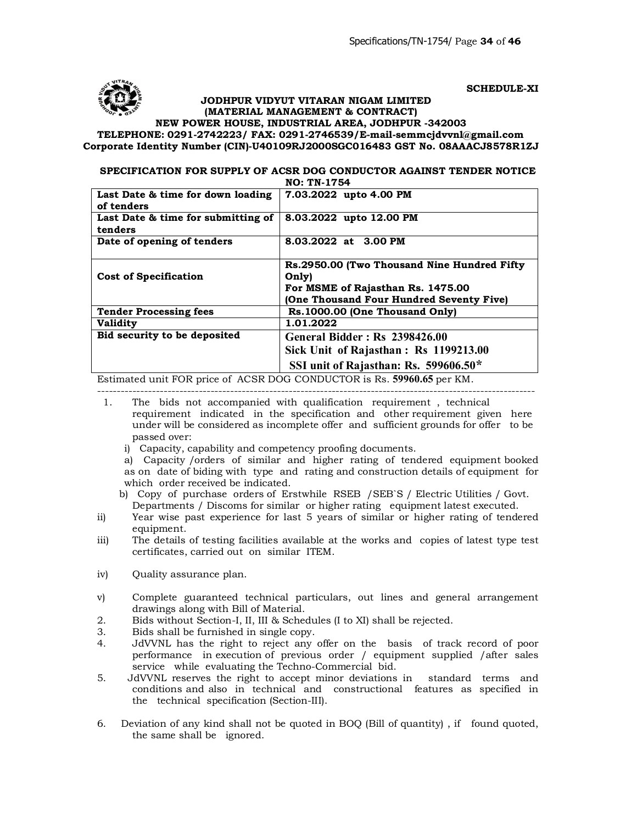

**SCHEDULE-XI**

 **JODHPUR VIDYUT VITARAN NIGAM LIMITED (MATERIAL MANAGEMENT & CONTRACT)**

**NEW POWER HOUSE, INDUSTRIAL AREA, JODHPUR -342003**

**TELEPHONE: 0291-2742223/ FAX: 0291-2746539/E-mail-semmcjdvvnl@gmail.com Corporate Identity Number (CIN)-U40109RJ2000SGC016483 [GST No. 08AAACJ8578R1Z](mailto:semmcjdvvnl@gmail.com)J**

#### **SPECIFICATION FOR SUPPLY OF ACSR DOG CONDUCTOR AGAINST TENDER NOTICE NO: TN-1754**

| Last Date & time for down loading<br>of tenders | 7.03.2022 upto 4.00 PM                         |
|-------------------------------------------------|------------------------------------------------|
| Last Date & time for submitting of<br>tenders   | 8.03.2022 upto 12.00 PM                        |
| Date of opening of tenders                      | 8.03.2022 at 3.00 PM                           |
|                                                 | Rs.2950.00 (Two Thousand Nine Hundred Fifty)   |
| <b>Cost of Specification</b>                    | Only)                                          |
|                                                 | For MSME of Rajasthan Rs. 1475.00              |
|                                                 | <b>One Thousand Four Hundred Seventy Five)</b> |
| <b>Tender Processing fees</b>                   | Rs.1000.00 (One Thousand Only)                 |
| <b>Validity</b>                                 | 1.01.2022                                      |
| Bid security to be deposited                    | <b>General Bidder: Rs 2398426.00</b>           |
|                                                 | Sick Unit of Rajasthan: Rs 1199213.00          |
|                                                 | SSI unit of Rajasthan: Rs. 599606.50*          |
|                                                 | --------------                                 |

Estimated unit FOR price of ACSR DOG CONDUCTOR is Rs. **59960.65** per KM. ----------------------------------------------------------------------------------------------------------------

- 1. The bids not accompanied with qualification requirement , technical requirement indicated in the specification and other requirement given here under will be considered as incomplete offer and sufficient grounds for offer to be passed over:
	- i) Capacity, capability and competency proofing documents.

a) Capacity /orders of similar and higher rating of tendered equipment booked as on date of biding with type and rating and construction details of equipment for which order received be indicated.

b) Copy of purchase orders of Erstwhile RSEB /SEB`S / Electric Utilities / Govt. Departments / Discoms for similar or higher rating equipment latest executed.

- ii) Year wise past experience for last 5 years of similar or higher rating of tendered equipment.
- iii) The details of testing facilities available at the works and copies of latest type test certificates, carried out on similar ITEM.
- iv) Quality assurance plan.
- v) Complete guaranteed technical particulars, out lines and general arrangement drawings along with Bill of Material.
- 2. Bids without Section-I, II, III & Schedules (I to XI) shall be rejected.
- 3. Bids shall be furnished in single copy.
- 4. JdVVNL has the right to reject any offer on the basis of track record of poor performance in execution of previous order / equipment supplied /after sales service while evaluating the Techno-Commercial bid.
- 5. JdVVNL reserves the right to accept minor deviations in standard terms and conditions and also in technical and constructional features as specified in the technical specification (Section-III).
- 6. Deviation of any kind shall not be quoted in BOQ (Bill of quantity) , if found quoted, the same shall be ignored.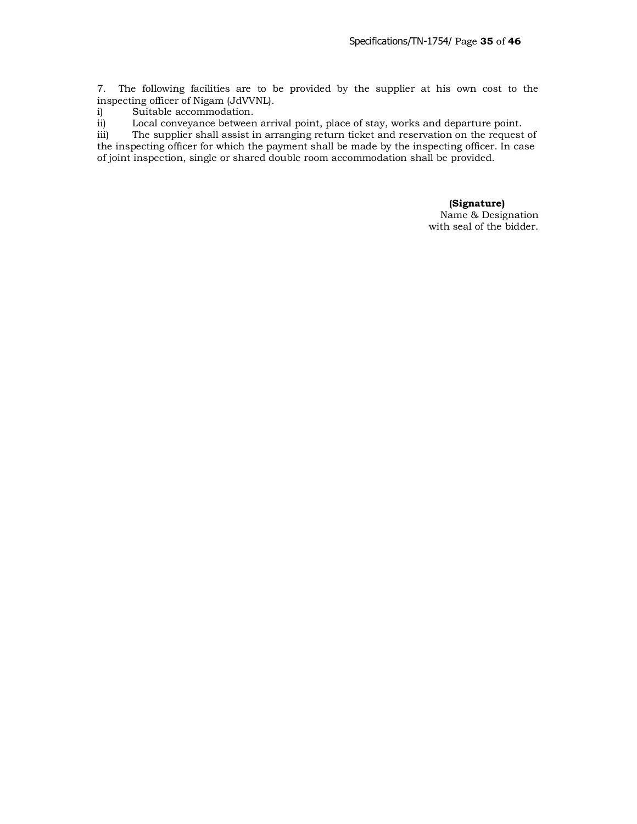7. The following facilities are to be provided by the supplier at his own cost to the inspecting officer of Nigam (JdVVNL).

i) Suitable accommodation.

ii) Local conveyance between arrival point, place of stay, works and departure point.

iii) The supplier shall assist in arranging return ticket and reservation on the request of the inspecting officer for which the payment shall be made by the inspecting officer. In case of joint inspection, single or shared double room accommodation shall be provided.

#### **(Signature)** Name & Designation

with seal of the bidder.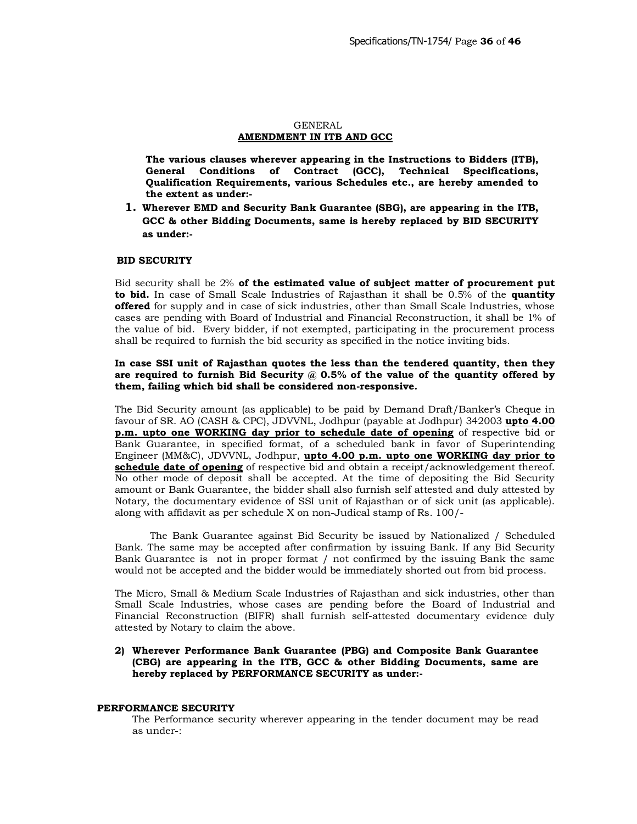#### GENERAL **AMENDMENT IN ITB AND GCC**

**The various clauses wherever appearing in the Instructions to Bidders (ITB), General Conditions of Contract (GCC), Technical Specifications, Qualification Requirements, various Schedules etc., are hereby amended to the extent as under:-**

**1. Wherever EMD and Security Bank Guarantee (SBG), are appearing in the ITB, GCC & other Bidding Documents, same is hereby replaced by BID SECURITY as under:-**

#### **BID SECURITY**

Bid security shall be 2% **of the estimated value of subject matter of procurement put to bid.** In case of Small Scale Industries of Rajasthan it shall be 0.5% of the **quantity offered** for supply and in case of sick industries, other than Small Scale Industries, whose cases are pending with Board of Industrial and Financial Reconstruction, it shall be 1% of the value of bid. Every bidder, if not exempted, participating in the procurement process shall be required to furnish the bid security as specified in the notice inviting bids.

#### **In case SSI unit of Rajasthan quotes the less than the tendered quantity, then they are required to furnish Bid Security @ 0.5% of the value of the quantity offered by them, failing which bid shall be considered non-responsive.**

The Bid Security amount (as applicable) to be paid by Demand Draft/Banker's Cheque in favour of SR. AO (CASH & CPC), JDVVNL, Jodhpur (payable at Jodhpur) 342003 **upto 4.00 p.m. upto one WORKING day prior to schedule date of opening** of respective bid or Bank Guarantee, in specified format, of a scheduled bank in favor of Superintending Engineer (MM&C), JDVVNL, Jodhpur, **upto 4.00 p.m. upto one WORKING day prior to schedule date of opening** of respective bid and obtain a receipt/acknowledgement thereof. No other mode of deposit shall be accepted. At the time of depositing the Bid Security amount or Bank Guarantee, the bidder shall also furnish self attested and duly attested by Notary, the documentary evidence of SSI unit of Rajasthan or of sick unit (as applicable). along with affidavit as per schedule X on non-Judical stamp of Rs. 100/-

The Bank Guarantee against Bid Security be issued by Nationalized / Scheduled Bank. The same may be accepted after confirmation by issuing Bank. If any Bid Security Bank Guarantee is not in proper format / not confirmed by the issuing Bank the same would not be accepted and the bidder would be immediately shorted out from bid process.

The Micro, Small & Medium Scale Industries of Rajasthan and sick industries, other than Small Scale Industries, whose cases are pending before the Board of Industrial and Financial Reconstruction (BIFR) shall furnish self-attested documentary evidence duly attested by Notary to claim the above.

#### **2) Wherever Performance Bank Guarantee (PBG) and Composite Bank Guarantee (CBG) are appearing in the ITB, GCC & other Bidding Documents, same are hereby replaced by PERFORMANCE SECURITY as under:-**

#### **PERFORMANCE SECURITY**

The Performance security wherever appearing in the tender document may be read as under-: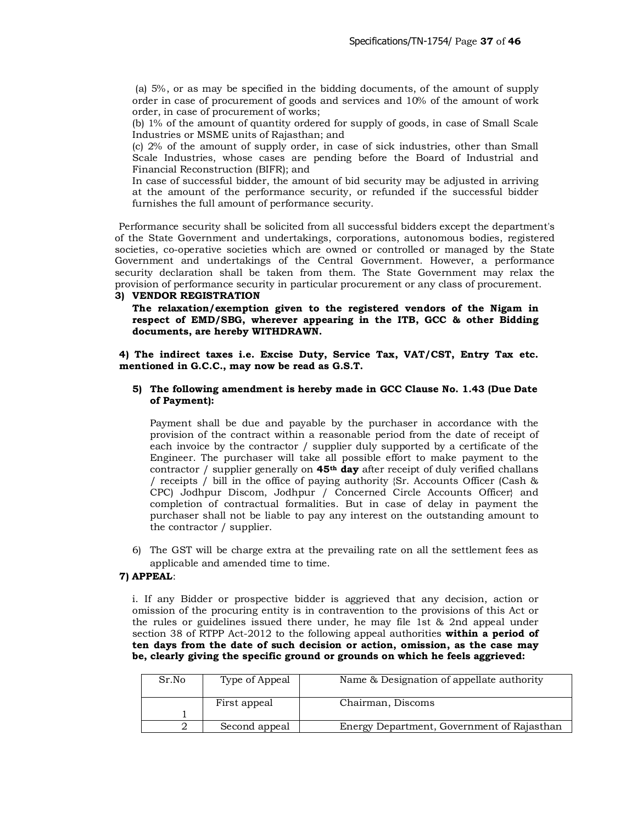(a) 5%, or as may be specified in the bidding documents, of the amount of supply order in case of procurement of goods and services and 10% of the amount of work order, in case of procurement of works;

(b) 1% of the amount of quantity ordered for supply of goods, in case of Small Scale Industries or MSME units of Rajasthan; and

(c) 2% of the amount of supply order, in case of sick industries, other than Small Scale Industries, whose cases are pending before the Board of Industrial and Financial Reconstruction (BIFR); and

In case of successful bidder, the amount of bid security may be adjusted in arriving at the amount of the performance security, or refunded if the successful bidder furnishes the full amount of performance security.

 Performance security shall be solicited from all successful bidders except the department's of the State Government and undertakings, corporations, autonomous bodies, registered societies, co-operative societies which are owned or controlled or managed by the State Government and undertakings of the Central Government. However, a performance security declaration shall be taken from them. The State Government may relax the provision of performance security in particular procurement or any class of procurement.

#### **3) VENDOR REGISTRATION**

**The relaxation/exemption given to the registered vendors of the Nigam in respect of EMD/SBG, wherever appearing in the ITB, GCC & other Bidding documents, are hereby WITHDRAWN.** 

**4) The indirect taxes i.e. Excise Duty, Service Tax, VAT/CST, Entry Tax etc. mentioned in G.C.C., may now be read as G.S.T.** 

#### **5) The following amendment is hereby made in GCC Clause No. 1.43 (Due Date of Payment):**

Payment shall be due and payable by the purchaser in accordance with the provision of the contract within a reasonable period from the date of receipt of each invoice by the contractor / supplier duly supported by a certificate of the Engineer. The purchaser will take all possible effort to make payment to the contractor / supplier generally on **45th day** after receipt of duly verified challans / receipts / bill in the office of paying authority {Sr. Accounts Officer (Cash & CPC) Jodhpur Discom, Jodhpur / Concerned Circle Accounts Officer} and completion of contractual formalities. But in case of delay in payment the purchaser shall not be liable to pay any interest on the outstanding amount to the contractor / supplier.

6) The GST will be charge extra at the prevailing rate on all the settlement fees as applicable and amended time to time.

## **7) APPEAL**:

i. If any Bidder or prospective bidder is aggrieved that any decision, action or omission of the procuring entity is in contravention to the provisions of this Act or the rules or guidelines issued there under, he may file 1st & 2nd appeal under section 38 of RTPP Act-2012 to the following appeal authorities **within a period of ten days from the date of such decision or action, omission, as the case may be, clearly giving the specific ground or grounds on which he feels aggrieved:** 

| Sr.No | Type of Appeal | Name & Designation of appellate authority  |  |
|-------|----------------|--------------------------------------------|--|
|       | First appeal   | Chairman, Discoms                          |  |
|       |                |                                            |  |
|       | Second appeal  | Energy Department, Government of Rajasthan |  |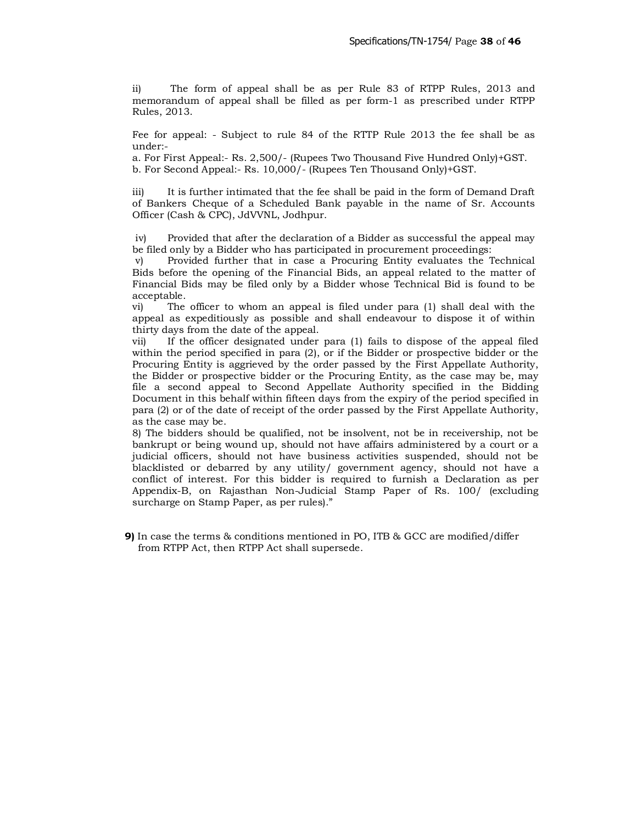ii) The form of appeal shall be as per Rule 83 of RTPP Rules, 2013 and memorandum of appeal shall be filled as per form-1 as prescribed under RTPP Rules, 2013.

Fee for appeal: - Subject to rule 84 of the RTTP Rule 2013 the fee shall be as under:-

a. For First Appeal:- Rs. 2,500/- (Rupees Two Thousand Five Hundred Only)+GST. b. For Second Appeal:- Rs. 10,000/- (Rupees Ten Thousand Only)+GST.

iii) It is further intimated that the fee shall be paid in the form of Demand Draft of Bankers Cheque of a Scheduled Bank payable in the name of Sr. Accounts Officer (Cash & CPC), JdVVNL, Jodhpur.

iv) Provided that after the declaration of a Bidder as successful the appeal may be filed only by a Bidder who has participated in procurement proceedings:

v) Provided further that in case a Procuring Entity evaluates the Technical Bids before the opening of the Financial Bids, an appeal related to the matter of Financial Bids may be filed only by a Bidder whose Technical Bid is found to be acceptable.

vi) The officer to whom an appeal is filed under para (1) shall deal with the appeal as expeditiously as possible and shall endeavour to dispose it of within thirty days from the date of the appeal.

vii) If the officer designated under para (1) fails to dispose of the appeal filed within the period specified in para (2), or if the Bidder or prospective bidder or the Procuring Entity is aggrieved by the order passed by the First Appellate Authority, the Bidder or prospective bidder or the Procuring Entity, as the case may be, may file a second appeal to Second Appellate Authority specified in the Bidding Document in this behalf within fifteen days from the expiry of the period specified in para (2) or of the date of receipt of the order passed by the First Appellate Authority, as the case may be.

8) The bidders should be qualified, not be insolvent, not be in receivership, not be bankrupt or being wound up, should not have affairs administered by a court or a judicial officers, should not have business activities suspended, should not be blacklisted or debarred by any utility/ government agency, should not have a conflict of interest. For this bidder is required to furnish a Declaration as per Appendix-B, on Rajasthan Non-Judicial Stamp Paper of Rs. 100/ (excluding surcharge on Stamp Paper, as per rules)."

**9)** In case the terms & conditions mentioned in PO, ITB & GCC are modified/differ from RTPP Act, then RTPP Act shall supersede.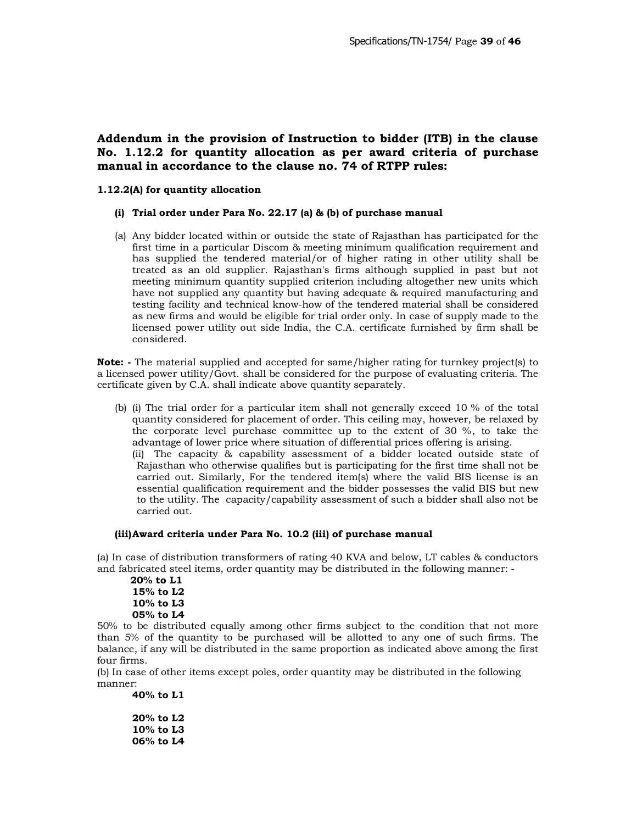# **Addendum in the provision of Instruction to bidder (ITB) in the clause No. 1.12.2 for quantity allocation as per award criteria of purchase manual in accordance to the clause no. 74 of RTPP rules:**

#### **1.12.2(A) for quantity allocation**

#### **(i) Trial order under Para No. 22.17 (a) & (b) of purchase manual**

(a) Any bidder located within or outside the state of Rajasthan has participated for the first time in a particular Discom & meeting minimum qualification requirement and has supplied the tendered material/or of higher rating in other utility shall be treated as an old supplier. Rajasthan's firms although supplied in past but not meeting minimum quantity supplied criterion including altogether new units which have not supplied any quantity but having adequate & required manufacturing and testing facility and technical know-how of the tendered material shall be considered as new firms and would be eligible for trial order only. In case of supply made to the licensed power utility out side India, the C.A. certificate furnished by firm shall be considered.

**Note: -** The material supplied and accepted for same/higher rating for turnkey project(s) to a licensed power utility/Govt. shall be considered for the purpose of evaluating criteria. The certificate given by C.A. shall indicate above quantity separately.

(b) (i) The trial order for a particular item shall not generally exceed 10 % of the total quantity considered for placement of order. This ceiling may, however, be relaxed by the corporate level purchase committee up to the extent of 30 %, to take the advantage of lower price where situation of differential prices offering is arising.

(ii) The capacity & capability assessment of a bidder located outside state of Rajasthan who otherwise qualifies but is participating for the first time shall not be carried out. Similarly, For the tendered item(s) where the valid BIS license is an essential qualification requirement and the bidder possesses the valid BIS but new to the utility. The capacity/capability assessment of such a bidder shall also not be carried out.

#### **(iii)Award criteria under Para No. 10.2 (iii) of purchase manual**

(a) In case of distribution transformers of rating 40 KVA and below, LT cables & conductors and fabricated steel items, order quantity may be distributed in the following manner: -

```
 20% to L1
15% to L2
10% to L3
05% to L4
```
50% to be distributed equally among other firms subject to the condition that not more than 5% of the quantity to be purchased will be allotted to any one of such firms. The balance, if any will be distributed in the same proportion as indicated above among the first four firms.

(b) In case of other items except poles, order quantity may be distributed in the following manner:

**40% to L1 20% to L2 10% to L3 06% to L4**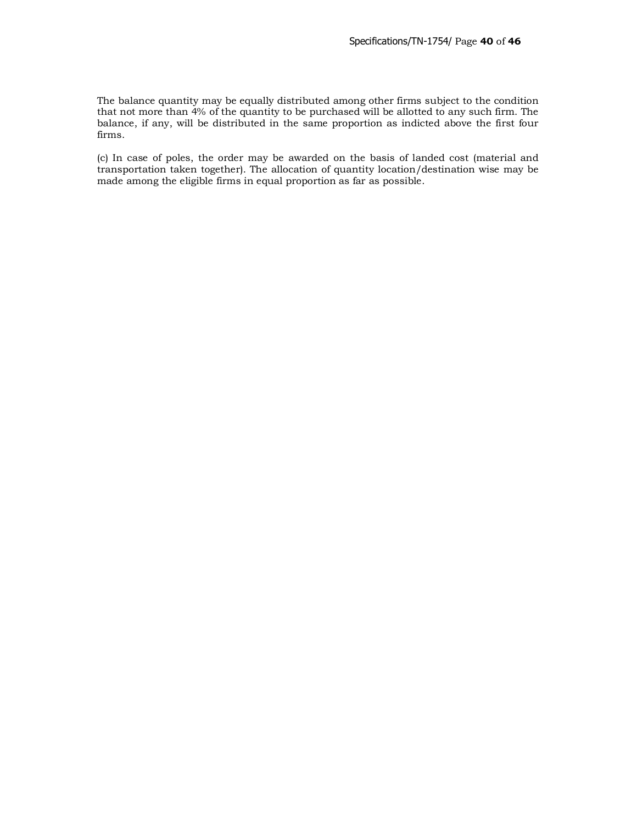The balance quantity may be equally distributed among other firms subject to the condition that not more than 4% of the quantity to be purchased will be allotted to any such firm. The balance, if any, will be distributed in the same proportion as indicted above the first four firms.

(c) In case of poles, the order may be awarded on the basis of landed cost (material and transportation taken together). The allocation of quantity location/destination wise may be made among the eligible firms in equal proportion as far as possible.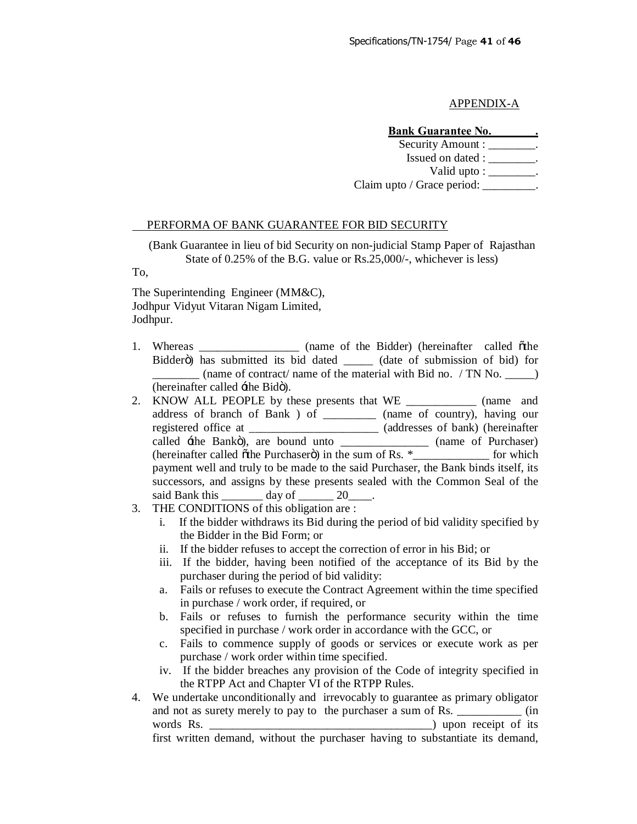#### APPENDIX-A

#### **Bank Guarantee No. \_\_\_\_\_\_\_.**

Security Amount : \_\_\_\_\_\_\_\_.

Issued on dated : \_\_\_\_\_\_\_\_.

Valid upto :  $\qquad \qquad$ .

Claim upto / Grace period: \_\_\_\_\_\_\_\_.

#### PERFORMA OF BANK GUARANTEE FOR BID SECURITY

(Bank Guarantee in lieu of bid Security on non-judicial Stamp Paper of Rajasthan State of 0.25% of the B.G. value or Rs.25,000/-, whichever is less)

To,

The Superintending Engineer (MM&C), Jodhpur Vidyut Vitaran Nigam Limited, Jodhpur.

- 1. Whereas \_\_\_\_\_\_\_\_\_\_\_\_\_\_ (name of the Bidder) (hereinafter called other Bidderö) has submitted its bid dated \_\_\_\_\_ (date of submission of bid) for (name of contract/ name of the material with Bid no. / TN No.  $\qquad \qquad$ ) (hereinafter called  $\pm$ the Bidö).
- 2. KNOW ALL PEOPLE by these presents that WE \_\_\_\_\_\_\_\_\_\_\_\_ (name and address of branch of Bank ) of \_\_\_\_\_\_\_\_\_ (name of country), having our registered office at \_\_\_\_\_\_\_\_\_\_\_\_\_\_\_\_\_\_\_\_\_\_ (addresses of bank) (hereinafter called  $\pm$ he Bankö), are bound unto \_\_\_\_\_\_\_\_\_\_\_\_\_\_\_\_ (name of Purchaser) (hereinafter called  $\ddot{\text{o}}$ the Purchaser $\ddot{\text{o}}$ ) in the sum of Rs.  $*$ payment well and truly to be made to the said Purchaser, the Bank binds itself, its successors, and assigns by these presents sealed with the Common Seal of the said Bank this  $\_\_\_\_\_\$  day of  $\_\_\_\_$  20 $\_\_\_\_\$ .
- 3. THE CONDITIONS of this obligation are :
	- i. If the bidder withdraws its Bid during the period of bid validity specified by the Bidder in the Bid Form; or
	- ii. If the bidder refuses to accept the correction of error in his Bid; or
	- iii. If the bidder, having been notified of the acceptance of its Bid by the purchaser during the period of bid validity:
	- a. Fails or refuses to execute the Contract Agreement within the time specified in purchase / work order, if required, or
	- b. Fails or refuses to furnish the performance security within the time specified in purchase / work order in accordance with the GCC, or
	- c. Fails to commence supply of goods or services or execute work as per purchase / work order within time specified.
	- iv. If the bidder breaches any provision of the Code of integrity specified in the RTPP Act and Chapter VI of the RTPP Rules.
- 4. We undertake unconditionally and irrevocably to guarantee as primary obligator and not as surety merely to pay to the purchaser a sum of Rs.  $\qquad \qquad$  (in words Rs. \_\_\_\_\_\_\_\_\_\_\_\_\_\_\_\_\_\_\_\_\_\_\_\_\_\_\_\_\_\_\_\_\_\_\_\_\_\_) upon receipt of its first written demand, without the purchaser having to substantiate its demand,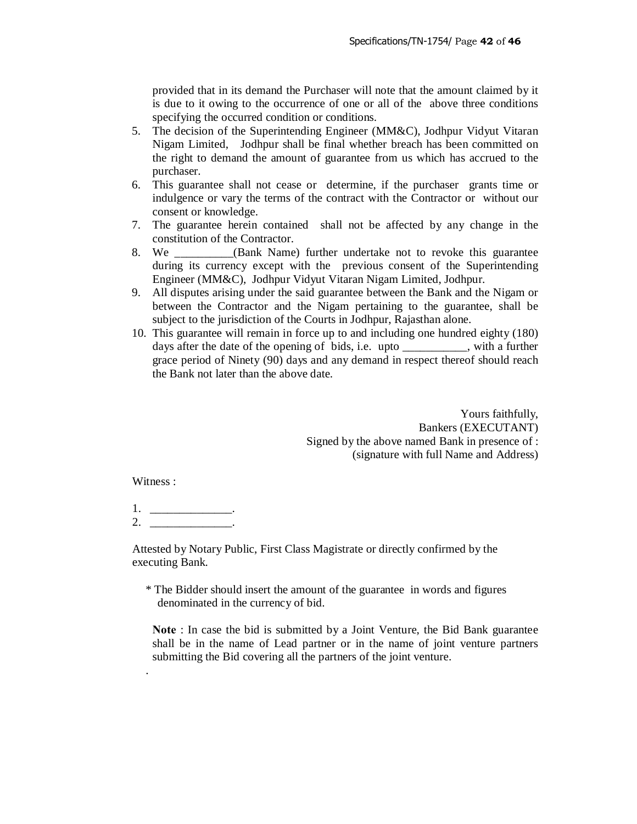provided that in its demand the Purchaser will note that the amount claimed by it is due to it owing to the occurrence of one or all of the above three conditions specifying the occurred condition or conditions.

- 5. The decision of the Superintending Engineer (MM&C), Jodhpur Vidyut Vitaran Nigam Limited, Jodhpur shall be final whether breach has been committed on the right to demand the amount of guarantee from us which has accrued to the purchaser.
- 6. This guarantee shall not cease or determine, if the purchaser grants time or indulgence or vary the terms of the contract with the Contractor or without our consent or knowledge.
- 7. The guarantee herein contained shall not be affected by any change in the constitution of the Contractor.
- 8. We **Solution** (Bank Name) further undertake not to revoke this guarantee during its currency except with the previous consent of the Superintending Engineer (MM&C), Jodhpur Vidyut Vitaran Nigam Limited, Jodhpur.
- 9. All disputes arising under the said guarantee between the Bank and the Nigam or between the Contractor and the Nigam pertaining to the guarantee, shall be subject to the jurisdiction of the Courts in Jodhpur, Rajasthan alone.
- 10. This guarantee will remain in force up to and including one hundred eighty (180) days after the date of the opening of bids, i.e. upto \_\_\_\_\_\_\_\_, with a further grace period of Ninety (90) days and any demand in respect thereof should reach the Bank not later than the above date.

Yours faithfully, Bankers (EXECUTANT) Signed by the above named Bank in presence of : (signature with full Name and Address)

Witness :

.

1. \_\_\_\_\_\_\_\_\_\_\_\_\_\_\_\_\_\_\_. 2. \_\_\_\_\_\_\_\_\_\_\_\_\_\_.

Attested by Notary Public, First Class Magistrate or directly confirmed by the executing Bank.

\* The Bidder should insert the amount of the guarantee in words and figures denominated in the currency of bid.

**Note** : In case the bid is submitted by a Joint Venture, the Bid Bank guarantee shall be in the name of Lead partner or in the name of joint venture partners submitting the Bid covering all the partners of the joint venture.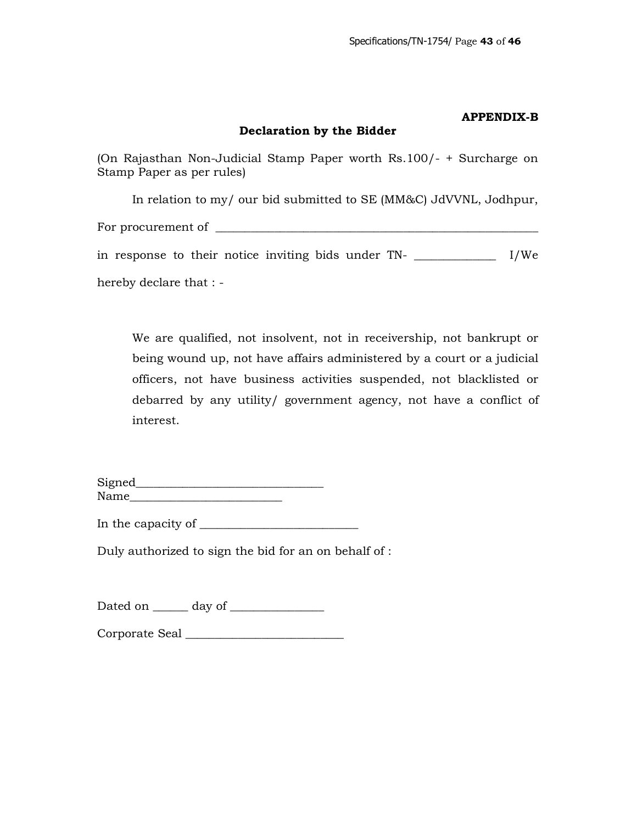## **APPENDIX-B**

# **Declaration by the Bidder**

(On Rajasthan Non-Judicial Stamp Paper worth Rs.100/- + Surcharge on Stamp Paper as per rules)

In relation to my/ our bid submitted to SE (MM&C) JdVVNL, Jodhpur,

For procurement of \_\_\_\_\_\_\_\_\_\_\_\_\_\_\_\_\_\_\_\_\_\_\_\_\_\_\_\_\_\_\_\_\_\_\_\_\_\_\_\_\_\_\_\_\_\_\_\_\_\_\_\_\_\_\_

in response to their notice inviting bids under TN- \_\_\_\_\_\_\_\_\_\_\_\_\_\_ I/We hereby declare that : -

We are qualified, not insolvent, not in receivership, not bankrupt or being wound up, not have affairs administered by a court or a judicial officers, not have business activities suspended, not blacklisted or debarred by any utility/ government agency, not have a conflict of interest.

| Signed |  |
|--------|--|
| Name   |  |

In the capacity of \_\_\_\_\_\_\_\_\_\_\_\_\_\_\_\_\_\_\_\_\_\_\_\_\_\_\_

Duly authorized to sign the bid for an on behalf of :

Dated on \_\_\_\_\_\_ day of \_\_\_\_\_\_\_\_\_\_\_\_\_\_\_\_

Corporate Seal \_\_\_\_\_\_\_\_\_\_\_\_\_\_\_\_\_\_\_\_\_\_\_\_\_\_\_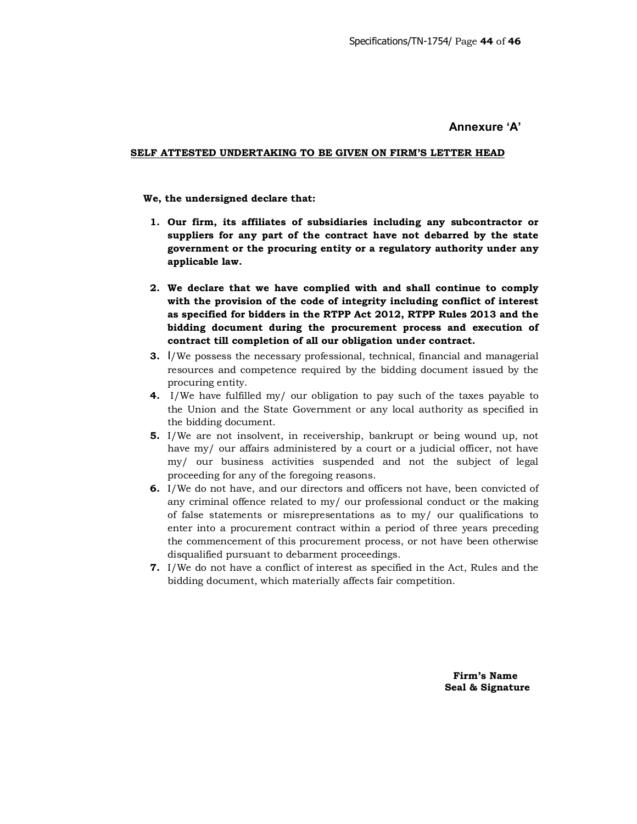#### **Annexure 'A'**

#### **SELF ATTESTED UNDERTAKING TO BE GIVEN ON FIRM'S LETTER HEAD**

#### **We, the undersigned declare that:**

- **1. Our firm, its affiliates of subsidiaries including any subcontractor or suppliers for any part of the contract have not debarred by the state government or the procuring entity or a regulatory authority under any applicable law.**
- **2. We declare that we have complied with and shall continue to comply with the provision of the code of integrity including conflict of interest as specified for bidders in the RTPP Act 2012, RTPP Rules 2013 and the bidding document during the procurement process and execution of contract till completion of all our obligation under contract.**
- **3.** I/We possess the necessary professional, technical, financial and managerial resources and competence required by the bidding document issued by the procuring entity.
- **4.** I/We have fulfilled my/ our obligation to pay such of the taxes payable to the Union and the State Government or any local authority as specified in the bidding document.
- **5.** I/We are not insolvent, in receivership, bankrupt or being wound up, not have my/ our affairs administered by a court or a judicial officer, not have my/ our business activities suspended and not the subject of legal proceeding for any of the foregoing reasons.
- **6.** I/We do not have, and our directors and officers not have, been convicted of any criminal offence related to my/ our professional conduct or the making of false statements or misrepresentations as to my/ our qualifications to enter into a procurement contract within a period of three years preceding the commencement of this procurement process, or not have been otherwise disqualified pursuant to debarment proceedings.
- **7.** I/We do not have a conflict of interest as specified in the Act, Rules and the bidding document, which materially affects fair competition.

 **Firm's Name Seal & Signature**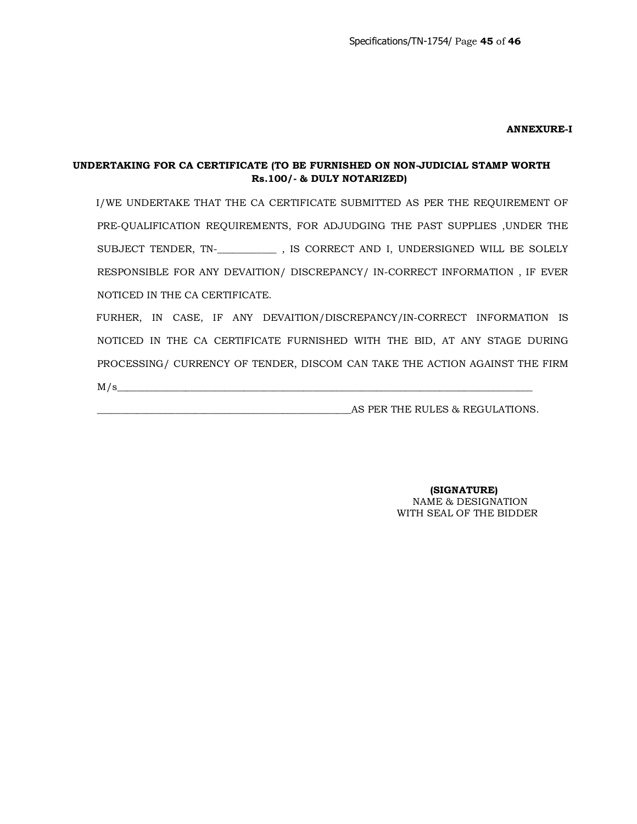#### **ANNEXURE-I**

## **UNDERTAKING FOR CA CERTIFICATE (TO BE FURNISHED ON NON-JUDICIAL STAMP WORTH Rs.100/- & DULY NOTARIZED)**

 I/WE UNDERTAKE THAT THE CA CERTIFICATE SUBMITTED AS PER THE REQUIREMENT OF PRE-QUALIFICATION REQUIREMENTS, FOR ADJUDGING THE PAST SUPPLIES ,UNDER THE SUBJECT TENDER, TN-\_**\_\_\_\_\_\_\_\_\_\_\_** , IS CORRECT AND I, UNDERSIGNED WILL BE SOLELY RESPONSIBLE FOR ANY DEVAITION/ DISCREPANCY/ IN-CORRECT INFORMATION , IF EVER NOTICED IN THE CA CERTIFICATE.

 FURHER, IN CASE, IF ANY DEVAITION/DISCREPANCY/IN-CORRECT INFORMATION IS NOTICED IN THE CA CERTIFICATE FURNISHED WITH THE BID, AT ANY STAGE DURING PROCESSING/ CURRENCY OF TENDER, DISCOM CAN TAKE THE ACTION AGAINST THE FIRM  $M/s$ 

\_\_\_\_\_\_\_\_\_\_\_\_\_\_\_\_\_\_\_\_\_\_\_\_\_\_\_\_\_\_\_\_\_\_\_\_\_\_\_\_\_\_\_\_\_\_\_\_\_\_\_\_AS PER THE RULES & REGULATIONS.

 **(SIGNATURE)** NAME & DESIGNATION WITH SEAL OF THE BIDDER